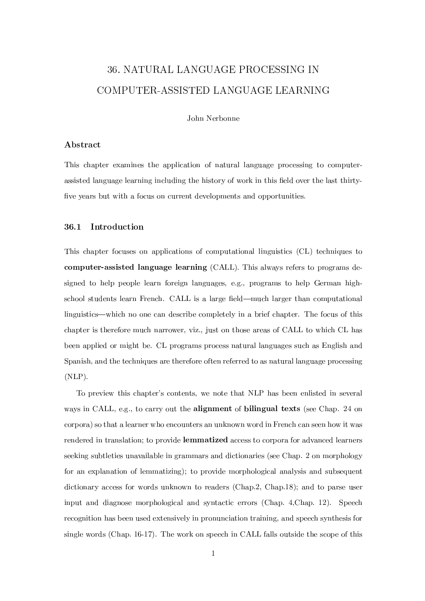# 36. NATURAL LANGUAGE PROCESSING IN COMPUTER-ASSISTED LANGUAGE LEARNING

John Nerbonne

# Abstract

This chapter examines the application of natural language processing to computerassisted language learning including the history of work in this field over the last thirtyfive years but with a focus on current developments and opportunities.

#### Introduction 36.1

This chapter focuses on applications of computational linguistics (CL) techniques to computer-assisted language learning (CALL). This always refers to programs designed to help people learn foreign languages, e.g., programs to help German highschool students learn French. CALL is a large field—much larger than computational linguistics—which no one can describe completely in a brief chapter. The focus of this chapter is therefore much narrower, viz., just on those areas of CALL to which CL has been applied or might be. CL programs process natural languages such as English and Spanish, and the techniques are therefore often referred to as natural language processing  $(NLP)$ .

To preview this chapter's contents, we note that NLP has been enlisted in several ways in CALL, e.g., to carry out the alignment of bilingual texts (see Chap. 24 on corpora) so that a learner who encounters an unknown word in French can seen how it was rendered in translation; to provide lemmatized access to corpora for advanced learners seeking subtleties unavailable in grammars and dictionaries (see Chap. 2 on morphology for an explanation of lemmatizing); to provide morphological analysis and subsequent dictionary access for words unknown to readers (Chap.2, Chap.18); and to parse user input and diagnose morphological and syntactic errors (Chap. 4, Chap. 12). Speech recognition has been used extensively in pronunciation training, and speech synthesis for single words (Chap. 16-17). The work on speech in CALL falls outside the scope of this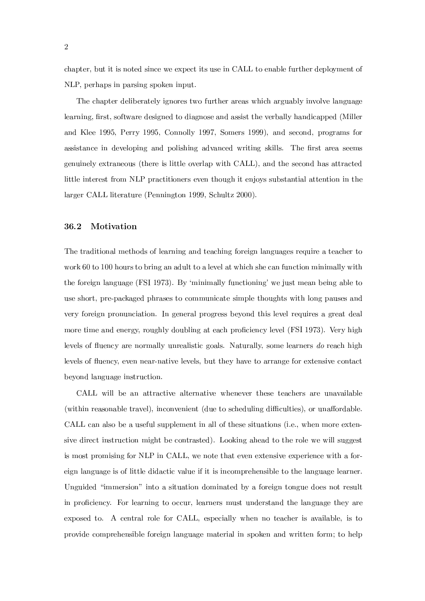chapter, but it is noted since we expect its use in CALL to enable further deployment of NLP, perhaps in parsing spoken input.

The chapter deliberately ignores two further areas which arguably involve language learning, first, software designed to diagnose and assist the verbally handicapped (Miller and Klee 1995, Perry 1995, Connolly 1997, Somers 1999), and second, programs for assistance in developing and polishing advanced writing skills. The first area seems genuinely extraneous (there is little overlap with CALL), and the second has attracted little interest from NLP practitioners even though it enjoys substantial attention in the larger CALL literature (Pennington 1999, Schultz 2000).

#### 36.2 Motivation

The traditional methods of learning and teaching foreign languages require a teacher to work 60 to 100 hours to bring an adult to a level at which she can function minimally with the foreign language (FSI 1973). By 'minimally functioning' we just mean being able to use short, pre-packaged phrases to communicate simple thoughts with long pauses and very foreign pronunciation. In general progress beyond this level requires a great deal more time and energy, roughly doubling at each proficiency level (FSI 1973). Very high levels of fluency are normally unrealistic goals. Naturally, some learners do reach high levels of fluency, even near-native levels, but they have to arrange for extensive contact beyond language instruction.

CALL will be an attractive alternative whenever these teachers are unavailable (within reasonable travel), inconvenient (due to scheduling difficulties), or unaffordable. CALL can also be a useful supplement in all of these situations (i.e., when more extensive direct instruction might be contrasted). Looking ahead to the role we will suggest is most promising for NLP in CALL, we note that even extensive experience with a foreign language is of little didactic value if it is incomprehensible to the language learner. Unguided "immersion" into a situation dominated by a foreign tongue does not result in proficiency. For learning to occur, learners must understand the language they are exposed to. A central role for CALL, especially when no teacher is available, is to provide comprehensible foreign language material in spoken and written form; to help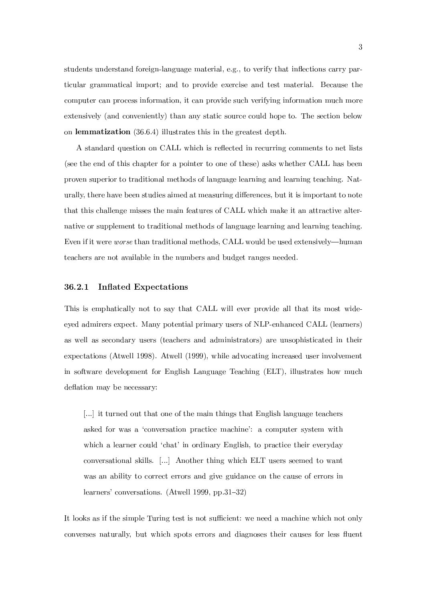students understand foreign-language material, e.g., to verify that inflections carry particular grammatical import; and to provide exercise and test material. Because the computer can process information, it can provide such verifying information much more extensively (and conveniently) than any static source could hope to. The section below on lemmatization  $(36.6.4)$  illustrates this in the greatest depth.

A standard question on CALL which is reflected in recurring comments to net lists (see the end of this chapter for a pointer to one of these) asks whether CALL has been proven superior to traditional methods of language learning and learning teaching. Naturally, there have been studies aimed at measuring differences, but it is important to note that this challenge misses the main features of CALL which make it an attractive alternative or supplement to traditional methods of language learning and learning teaching. Even if it were *worse* than traditional methods, CALL would be used extensively—human teachers are not available in the numbers and budget ranges needed.

#### **Inflated Expectations** 36.2.1

This is emphatically not to say that CALL will ever provide all that its most wideeved admirers expect. Many potential primary users of NLP-enhanced CALL (learners) as well as secondary users (teachers and administrators) are unsophisticated in their expectations (Atwell 1998). Atwell (1999), while advocating increased user involvement in software development for English Language Teaching (ELT), illustrates how much deflation may be necessary:

[...] it turned out that one of the main things that English language teachers asked for was a 'conversation practice machine': a computer system with which a learner could 'chat' in ordinary English, to practice their everyday conversational skills. [...] Another thing which ELT users seemed to want was an ability to correct errors and give guidance on the cause of errors in learners' conversations. (Atwell 1999, pp.31-32)

It looks as if the simple Turing test is not sufficient: we need a machine which not only converses naturally, but which spots errors and diagnoses their causes for less fluent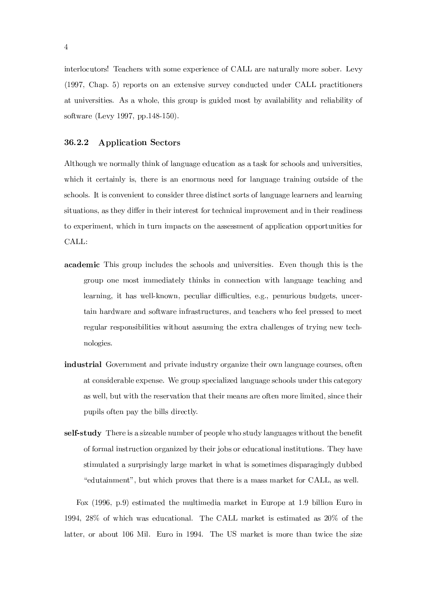interlocutors! Teachers with some experience of CALL are naturally more sober. Levy (1997, Chap. 5) reports on an extensive survey conducted under CALL practitioners at universities. As a whole, this group is guided most by availability and reliability of software (Levy 1997, pp. 148-150).

#### **Application Sectors** 36.2.2

Although we normally think of language education as a task for schools and universities, which it certainly is, there is an enormous need for language training outside of the schools. It is convenient to consider three distinct sorts of language learners and learning situations, as they differ in their interest for technical improvement and in their readiness to experiment, which in turn impacts on the assessment of application opportunities for CALL:

- academic This group includes the schools and universities. Even though this is the group one most immediately thinks in connection with language teaching and learning, it has well-known, peculiar difficulties, e.g., penurious budgets, uncertain hardware and software infrastructures, and teachers who feel pressed to meet regular responsibilities without assuming the extra challenges of trying new technologies.
- **industrial** Government and private industry organize their own language courses, often at considerable expense. We group specialized language schools under this category as well, but with the reservation that their means are often more limited, since their pupils often pay the bills directly.
- self-study There is a sizeable number of people who study languages without the benefit of formal instruction organized by their jobs or educational institutions. They have stimulated a surprisingly large market in what is sometimes disparagingly dubbed "edutainment", but which proves that there is a mass market for CALL, as well.

Fox (1996, p.9) estimated the multimedia market in Europe at 1.9 billion Euro in 1994, 28% of which was educational. The CALL market is estimated as 20% of the latter, or about 106 Mil. Euro in 1994. The US market is more than twice the size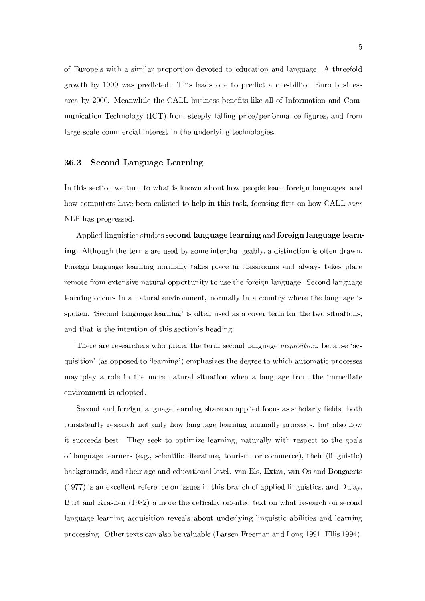of Europe's with a similar proportion devoted to education and language. A threefold growth by 1999 was predicted. This leads one to predict a one-billion Euro business area by 2000. Meanwhile the CALL business benefits like all of Information and Communication Technology (ICT) from steeply falling price/performance figures, and from large-scale commercial interest in the underlying technologies.

#### **Second Language Learning** 36.3

In this section we turn to what is known about how people learn foreign languages, and how computers have been enlisted to help in this task, focusing first on how CALL sans NLP has progressed.

Applied linguistics studies second language learning and foreign language learning. Although the terms are used by some interchangeably, a distinction is often drawn. Foreign language learning normally takes place in classrooms and always takes place remote from extensive natural opportunity to use the foreign language. Second language learning occurs in a natural environment, normally in a country where the language is spoken. 'Second language learning' is often used as a cover term for the two situations, and that is the intention of this section's heading.

There are researchers who prefer the term second language *acquisition*, because 'acquisition' (as opposed to 'learning') emphasizes the degree to which automatic processes may play a role in the more natural situation when a language from the immediate environment is adopted.

Second and foreign language learning share an applied focus as scholarly fields: both consistently research not only how language learning normally proceeds, but also how it succeeds best. They seek to optimize learning, naturally with respect to the goals of language learners (e.g., scientific literature, tourism, or commerce), their (linguistic) backgrounds, and their age and educational level. van Els, Extra, van Os and Bongaerts (1977) is an excellent reference on issues in this branch of applied linguistics, and Dulay, Burt and Krashen (1982) a more theoretically oriented text on what research on second language learning acquisition reveals about underlying linguistic abilities and learning processing. Other texts can also be valuable (Larsen-Freeman and Long 1991, Ellis 1994).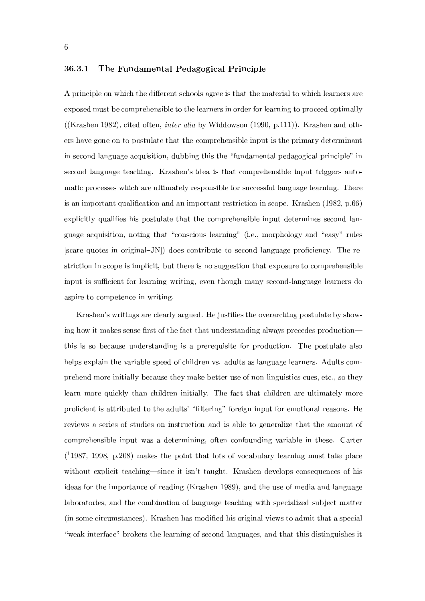#### The Fundamental Pedagogical Principle 36.3.1

A principle on which the different schools agree is that the material to which learners are exposed must be comprehensible to the learners in order for learning to proceed optimally ((Krashen 1982), cited often, *inter alia* by Widdowson (1990, p.111)). Krashen and others have gone on to postulate that the comprehensible input is the primary determinant in second language acquisition, dubbing this the "fundamental pedagogical principle" in second language teaching. Krashen's idea is that comprehensible input triggers automatic processes which are ultimately responsible for successful language learning. There is an important qualification and an important restriction in scope. Krashen (1982, p.66) explicitly qualifies his postulate that the comprehensible input determines second language acquisition, noting that "conscious learning" (i.e., morphology and "easy" rules [scare quotes in original-JN]] does contribute to second language proficiency. The restriction in scope is implicit, but there is no suggestion that exposure to comprehensible input is sufficient for learning writing, even though many second-language learners do aspire to competence in writing.

Krashen's writings are clearly argued. He justifies the overarching postulate by showing how it makes sense first of the fact that understanding always precedes production this is so because understanding is a prerequisite for production. The postulate also helps explain the variable speed of children vs. adults as language learners. Adults comprehend more initially because they make better use of non-linguistics cues, etc., so they learn more quickly than children initially. The fact that children are ultimately more proficient is attributed to the adults' "filtering" foreign input for emotional reasons. He reviews a series of studies on instruction and is able to generalize that the amount of comprehensible input was a determining, often confounding variable in these. Carter  $(^{1}1987, 1998, p.208)$  makes the point that lots of vocabulary learning must take place without explicit teaching—since it isn't taught. Krashen develops consequences of his ideas for the importance of reading (Krashen 1989), and the use of media and language laboratories, and the combination of language teaching with specialized subject matter (in some circumstances). Krashen has modified his original views to admit that a special "weak interface" brokers the learning of second languages, and that this distinguishes it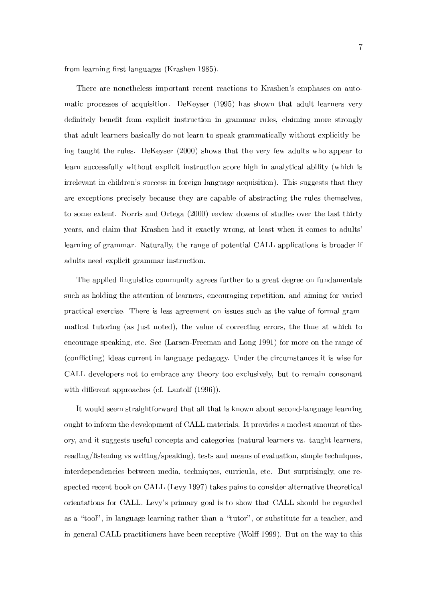from learning first languages (Krashen 1985).

There are nonetheless important recent reactions to Krashen's emphases on automatic processes of acquisition. DeKeyser (1995) has shown that adult learners very definitely benefit from explicit instruction in grammar rules, claiming more strongly that adult learners basically do not learn to speak grammatically without explicitly being taught the rules. DeKeyser (2000) shows that the very few adults who appear to learn successfully without explicit instruction score high in analytical ability (which is irrelevant in children's success in foreign language acquisition). This suggests that they are exceptions precisely because they are capable of abstracting the rules themselves, to some extent. Norris and Ortega (2000) review dozens of studies over the last thirty years, and claim that Krashen had it exactly wrong, at least when it comes to adults' learning of grammar. Naturally, the range of potential CALL applications is broader if adults need explicit grammar instruction.

The applied linguistics community agrees further to a great degree on fundamentals such as holding the attention of learners, encouraging repetition, and aiming for varied practical exercise. There is less agreement on issues such as the value of formal grammatical tutoring (as just noted), the value of correcting errors, the time at which to encourage speaking, etc. See (Larsen-Freeman and Long 1991) for more on the range of (conflicting) ideas current in language pedagogy. Under the circumstances it is wise for CALL developers not to embrace any theory too exclusively, but to remain consonant with different approaches (cf. Lantolf  $(1996)$ ).

It would seem straightforward that all that is known about second-language learning ought to inform the development of CALL materials. It provides a modest amount of theory, and it suggests useful concepts and categories (natural learners vs. taught learners, reading/listening vs writing/speaking), tests and means of evaluation, simple techniques, interdependencies between media, techniques, curricula, etc. But surprisingly, one respected recent book on CALL (Levy 1997) takes pains to consider alternative theoretical orientations for CALL. Levy's primary goal is to show that CALL should be regarded as a "tool", in language learning rather than a "tutor", or substitute for a teacher, and in general CALL practitioners have been receptive (Wolff 1999). But on the way to this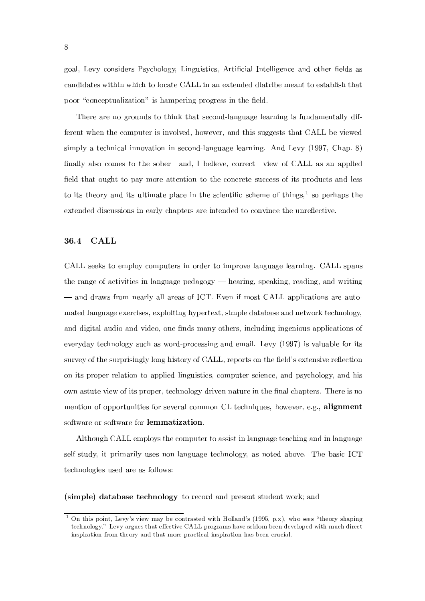goal, Levy considers Psychology, Linguistics, Artificial Intelligence and other fields as candidates within which to locate CALL in an extended diatribe meant to establish that poor "conceptualization" is hampering progress in the field.

There are no grounds to think that second-language learning is fundamentally different when the computer is involved, however, and this suggests that CALL be viewed simply a technical innovation in second-language learning. And Levy (1997, Chap. 8) finally also comes to the sober—and, I believe, correct—view of CALL as an applied field that ought to pay more attention to the concrete success of its products and less to its theory and its ultimate place in the scientific scheme of things,<sup>1</sup> so perhaps the extended discussions in early chapters are intended to convince the unreflective.

### 36.4 **CALL**

CALL seeks to employ computers in order to improve language learning. CALL spans the range of activities in language  $\alpha$  pedagogy  $\alpha$  hearing, speaking, reading, and writing - and draws from nearly all areas of ICT. Even if most CALL applications are automated language exercises, exploiting hypertext, simple database and network technology, and digital audio and video, one finds many others, including ingenious applications of everyday technology such as word-processing and email. Levy (1997) is valuable for its survey of the surprisingly long history of CALL, reports on the field's extensive reflection on its proper relation to applied linguistics, computer science, and psychology, and his own astute view of its proper, technology-driven nature in the final chapters. There is no mention of opportunities for several common CL techniques, however, e.g., alignment software or software for lemmatization.

Although CALL employs the computer to assist in language teaching and in language self-study, it primarily uses non-language technology, as noted above. The basic ICT technologies used are as follows:

(simple) database technology to record and present student work; and

<sup>&</sup>lt;sup>1</sup> On this point, Levy's view may be contrasted with Holland's (1995, p.x), who sees "theory shaping technology." Levy argues that effective CALL programs have seldom been developed with much direct inspiration from theory and that more practical inspiration has been crucial.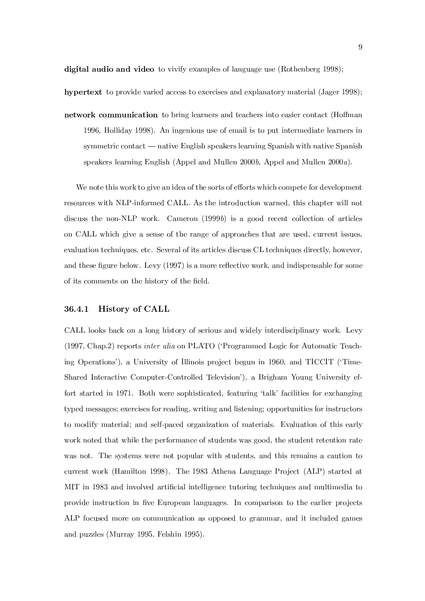digital audio and video to vivify examples of language use (Rothenberg 1998);

hypertext to provide varied access to exercises and explanatory material (Jager 1998);

network communication to bring learners and teachers into easier contact (Hoffman 1996, Holliday 1998). An ingenious use of email is to put intermediate learners in symmetric contact — native English speakers learning Spanish with native Spanish speakers learning English (Appel and Mullen  $2000b$ , Appel and Mullen  $2000a$ ).

We note this work to give an idea of the sorts of efforts which compete for development resources with NLP-informed CALL. As the introduction warned, this chapter will not discuss the non-NLP work. Cameron  $(1999b)$  is a good recent collection of articles on CALL which give a sense of the range of approaches that are used, current issues, evaluation techniques, etc. Several of its articles discuss CL techniques directly, however, and these figure below. Levy (1997) is a more reflective work, and indispensable for some of its comments on the history of the field.

### 36.4.1 **History of CALL**

CALL looks back on a long history of serious and widely interdisciplinary work. Levy (1997, Chap.2) reports *inter alia* on PLATO ('Programmed Logic for Automatic Teaching Operations'), a University of Illinois project begun in 1960, and TICCIT ('Time-Shared Interactive Computer-Controlled Television'), a Brigham Young University effort started in 1971. Both were sophisticated, featuring 'talk' facilities for exchanging typed messages; exercises for reading, writing and listening; opportunities for instructors to modify material; and self-paced organization of materials. Evaluation of this early work noted that while the performance of students was good, the student retention rate was not. The systems were not popular with students, and this remains a caution to current work (Hamilton 1998). The 1983 Athena Language Project (ALP) started at MIT in 1983 and involved artificial intelligence tutoring techniques and multimedia to provide instruction in five European languages. In comparison to the earlier projects ALP focused more on communication as opposed to grammar, and it included games and puzzles (Murray 1995, Felshin 1995).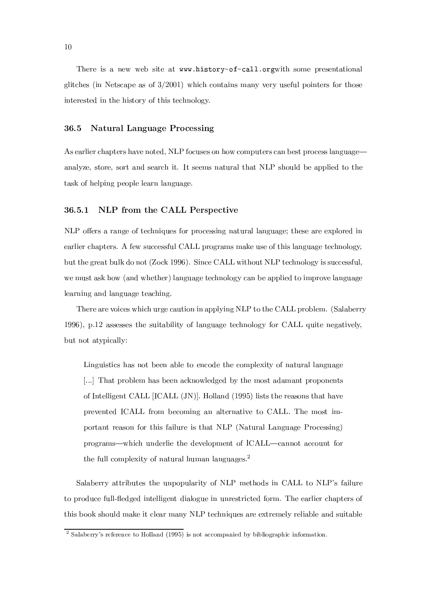There is a new web site at www.history-of-call.orgwith some presentational glitches (in Netscape as of  $3/2001$ ) which contains many very useful pointers for those interested in the history of this technology.

### 36.5 **Natural Language Processing**

As earlier chapters have noted, NLP focuses on how computers can best process language analyze, store, sort and search it. It seems natural that NLP should be applied to the task of helping people learn language.

#### NLP from the CALL Perspective 36.5.1

NLP offers a range of techniques for processing natural language; these are explored in earlier chapters. A few successful CALL programs make use of this language technology. but the great bulk do not (Zock 1996). Since CALL without NLP technology is successful. we must ask how (and whether) language technology can be applied to improve language learning and language teaching.

There are voices which urge caution in applying NLP to the CALL problem. (Salaberry 1996), p.12 assesses the suitability of language technology for CALL quite negatively, but not atypically:

Linguistics has not been able to encode the complexity of natural language [...] That problem has been acknowledged by the most adamant proponents of Intelligent CALL [ICALL (JN)]. Holland (1995) lists the reasons that have prevented ICALL from becoming an alternative to CALL. The most important reason for this failure is that NLP (Natural Language Processing) programs—which underlie the development of ICALL—cannot account for the full complexity of natural human languages.<sup>2</sup>

Salaberry attributes the unpopularity of NLP methods in CALL to NLP's failure to produce full-fledged intelligent dialogue in unrestricted form. The earlier chapters of this book should make it clear many NLP techniques are extremely reliable and suitable

<sup>&</sup>lt;sup>2</sup> Salaberry's reference to Holland (1995) is not accompanied by bibliographic information.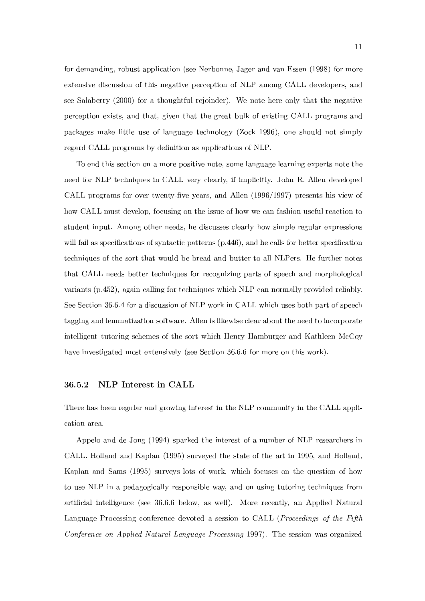for demanding, robust application (see Nerbonne, Jager and van Essen (1998) for more extensive discussion of this negative perception of NLP among CALL developers, and see Salaberry (2000) for a thoughtful rejoinder). We note here only that the negative perception exists, and that, given that the great bulk of existing CALL programs and packages make little use of language technology (Zock 1996), one should not simply regard CALL programs by definition as applications of NLP.

To end this section on a more positive note, some language learning experts note the need for NLP techniques in CALL very clearly, if implicitly. John R. Allen developed CALL programs for over twenty-five years, and Allen (1996/1997) presents his view of how CALL must develop, focusing on the issue of how we can fashion useful reaction to student input. Among other needs, he discusses clearly how simple regular expressions will fail as specifications of syntactic patterns (p.446), and he calls for better specification techniques of the sort that would be bread and butter to all NLPers. He further notes that CALL needs better techniques for recognizing parts of speech and morphological variants (p.452), again calling for techniques which NLP can normally provided reliably. See Section 36.6.4 for a discussion of NLP work in CALL which uses both part of speech tagging and lemmatization software. Allen is likewise clear about the need to incorporate intelligent tutoring schemes of the sort which Henry Hamburger and Kathleen McCoy have investigated most extensively (see Section 36.6.6 for more on this work).

#### 36.5.2 NLP Interest in CALL

There has been regular and growing interest in the NLP community in the CALL application area.

Appelo and de Jong (1994) sparked the interest of a number of NLP researchers in CALL. Holland and Kaplan (1995) surveyed the state of the art in 1995, and Holland, Kaplan and Sams (1995) surveys lots of work, which focuses on the question of how to use NLP in a pedagogically responsible way, and on using tutoring techniques from artificial intelligence (see 36.6.6 below, as well). More recently, an Applied Natural Language Processing conference devoted a session to CALL (Proceedings of the Fifth Conference on Applied Natural Language Processing 1997). The session was organized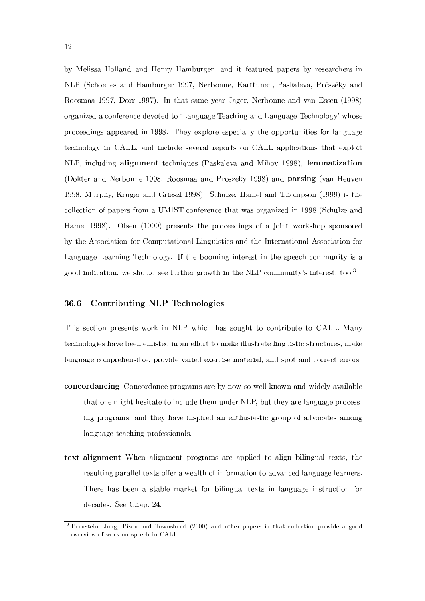by Melissa Holland and Henry Hamburger, and it featured papers by researchers in NLP (Schoelles and Hamburger 1997, Nerbonne, Karttunen, Paskaleva, Prószéky and Roosmaa 1997, Dorr 1997). In that same year Jager, Nerbonne and van Essen (1998) organized a conference devoted to 'Language Teaching and Language Technology' whose proceedings appeared in 1998. They explore especially the opportunities for language technology in CALL, and include several reports on CALL applications that exploit NLP, including alignment techniques (Paskaleva and Mihov 1998), lemmatization (Dokter and Nerbonne 1998, Roosmaa and Proszeky 1998) and **parsing** (van Heuven 1998, Murphy, Krüger and Grieszl 1998). Schulze, Hamel and Thompson (1999) is the collection of papers from a UMIST conference that was organized in 1998 (Schulze and Hamel 1998). Olsen (1999) presents the proceedings of a joint workshop sponsored by the Association for Computational Linguistics and the International Association for Language Learning Technology. If the booming interest in the speech community is a good indication, we should see further growth in the NLP community's interest, too.<sup>3</sup>

### Contributing NLP Technologies 36.6

This section presents work in NLP which has sought to contribute to CALL. Many technologies have been enlisted in an effort to make illustrate linguistic structures, make language comprehensible, provide varied exercise material, and spot and correct errors.

- concordancing Concordance programs are by now so well known and widely available that one might hesitate to include them under NLP, but they are language processing programs, and they have inspired an enthusiastic group of advocates among language teaching professionals.
- text alignment When alignment programs are applied to align bilingual texts, the resulting parallel texts offer a wealth of information to advanced language learners. There has been a stable market for bilingual texts in language instruction for decades. See Chap. 24.

Bernstein, Jong, Pison and Townshend (2000) and other papers in that collection provide a good overview of work on speech in CALL.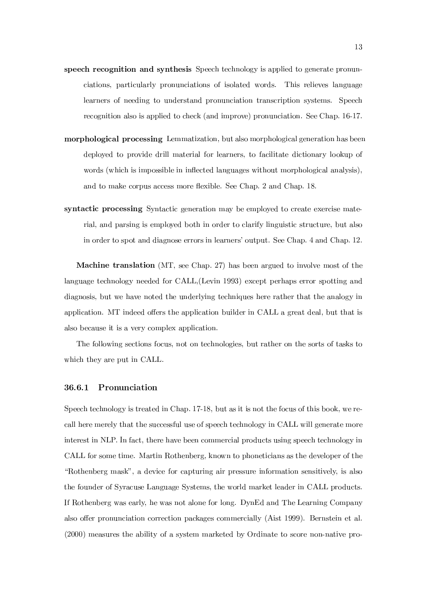- speech recognition and synthesis Speech technology is applied to generate pronunciations, particularly pronunciations of isolated words. This relieves language learners of needing to understand pronunciation transcription systems. Speech recognition also is applied to check (and improve) pronunciation. See Chap. 16-17.
- morphological processing Lemmatization, but also morphological generation has been deployed to provide drill material for learners, to facilitate dictionary lookup of words (which is impossible in inflected languages without morphological analysis). and to make corpus access more flexible. See Chap. 2 and Chap. 18.
- syntactic processing Syntactic generation may be employed to create exercise material, and parsing is employed both in order to clarify linguistic structure, but also in order to spot and diagnose errors in learners' output. See Chap. 4 and Chap. 12.

**Machine translation** (MT, see Chap. 27) has been argued to involve most of the language technology needed for CALL, (Levin 1993) except perhaps error spotting and diagnosis, but we have noted the underlying techniques here rather that the analogy in application. MT indeed offers the application builder in CALL a great deal, but that is also because it is a very complex application.

The following sections focus, not on technologies, but rather on the sorts of tasks to which they are put in CALL.

### 36.6.1 Pronunciation

Speech technology is treated in Chap. 17-18, but as it is not the focus of this book, we recall here merely that the successful use of speech technology in CALL will generate more interest in NLP. In fact, there have been commercial products using speech technology in CALL for some time. Martin Rothenberg, known to phoneticians as the developer of the "Rothenberg mask", a device for capturing air pressure information sensitively, is also the founder of Syracuse Language Systems, the world market leader in CALL products. If Rothenberg was early, he was not alone for long. DynEd and The Learning Company also offer pronunciation correction packages commercially (Aist 1999). Bernstein et al. (2000) measures the ability of a system marketed by Ordinate to score non-native pro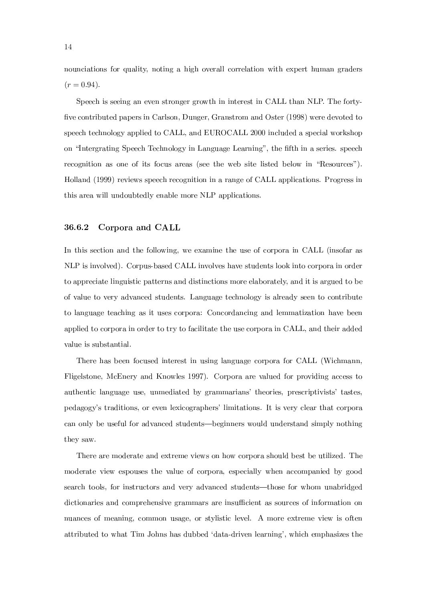nounciations for quality, noting a high overall correlation with expert human graders  $(r = 0.94).$ 

Speech is seeing an even stronger growth in interest in CALL than NLP. The fortyfive contributed papers in Carlson, Dunger, Granstrom and Oster (1998) were devoted to speech technology applied to CALL, and EUROCALL 2000 included a special workshop on "Intergrating Speech Technology in Language Learning", the fifth in a series, speech recognition as one of its focus areas (see the web site listed below in "Resources"). Holland (1999) reviews speech recognition in a range of CALL applications. Progress in this area will undoubtedly enable more NLP applications.

#### Corpora and CALL 36.6.2

In this section and the following, we examine the use of corpora in CALL (insofar as NLP is involved). Corpus-based CALL involves have students look into corpora in order to appreciate linguistic patterns and distinctions more elaborately, and it is argued to be of value to very advanced students. Language technology is already seen to contribute to language teaching as it uses corpora: Concordancing and lemmatization have been applied to corpora in order to try to facilitate the use corpora in CALL, and their added value is substantial.

There has been focused interest in using language corpora for CALL (Wichmann, Fligglistone, McEnery and Knowles 1997). Corpora are valued for providing access to authentic language use, unmediated by grammarians' theories, prescriptivists' tastes, pedagogy's traditions, or even lexicographers' limitations. It is very clear that corpora can only be useful for advanced students—beginners would understand simply nothing they saw.

There are moderate and extreme views on how corpora should best be utilized. The moderate view espouses the value of corpora, especially when accompanied by good search tools, for instructors and very advanced students—those for whom unabridged dictionaries and comprehensive grammars are insufficient as sources of information on nuances of meaning, common usage, or stylistic level. A more extreme view is often attributed to what Tim Johns has dubbed 'data-driven learning', which emphasizes the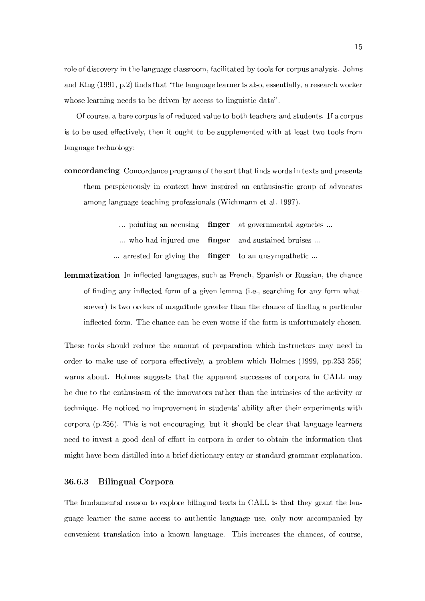role of discovery in the language classroom, facilitated by tools for corpus analysis. Johns and King (1991, p.2) finds that "the language learner is also, essentially, a research worker whose learning needs to be driven by access to linguistic data".

Of course, a bare corpus is of reduced value to both teachers and students. If a corpus is to be used effectively, then it ought to be supplemented with at least two tools from language technology:

- **concordancing** Concordance programs of the sort that finds words in texts and presents them perspicuously in context have inspired an enthusiastic group of advocates among language teaching professionals (Wichmann et al. 1997).
	- ... pointing an accusing finger at governmental agencies ... and sustained bruises ... ... who had injured one finger ... arrested for giving the finger to an unsympathetic...
- lemmatization In inflected languages, such as French, Spanish or Russian, the chance of finding any inflected form of a given lemma (i.e., searching for any form whatsoever) is two orders of magnitude greater than the chance of finding a particular inflected form. The chance can be even worse if the form is unfortunately chosen.

These tools should reduce the amount of preparation which instructors may need in order to make use of corpora effectively, a problem which Holmes (1999, pp.253-256) warns about. Holmes suggests that the apparent successes of corpora in CALL may be due to the enthusiasm of the innovators rather than the intrinsics of the activity or technique. He noticed no improvement in students' ability after their experiments with corpora (p.256). This is not encouraging, but it should be clear that language learners need to invest a good deal of effort in corpora in order to obtain the information that might have been distilled into a brief dictionary entry or standard grammar explanation.

#### 36.6.3 **Bilingual Corpora**

The fundamental reason to explore bilingual texts in CALL is that they grant the language learner the same access to authentic language use, only now accompanied by convenient translation into a known language. This increases the chances, of course,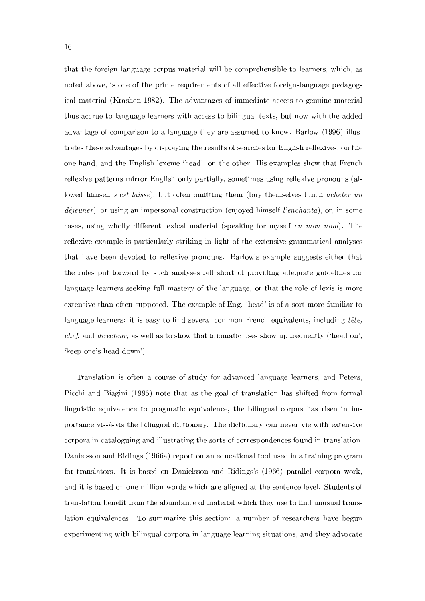that the foreign-language corpus material will be comprehensible to learners, which, as noted above, is one of the prime requirements of all effective foreign-language pedagogical material (Krashen 1982). The advantages of immediate access to genuine material thus accrue to language learners with access to bilingual texts, but now with the added advantage of comparison to a language they are assumed to know. Barlow (1996) illustrates these advantages by displaying the results of searches for English reflexives, on the one hand, and the English lexeme 'head', on the other. His examples show that French reflexive patterns mirror English only partially, sometimes using reflexive pronouns (allowed himself s'est laisse), but often omitting them (buy themselves lunch acheter un  $d\acute{e}jeuner$ , or using an impersonal construction (enjoyed himself *l'enchanta*), or, in some cases, using wholly different lexical material (speaking for myself *en mon nom*). The reflexive example is particularly striking in light of the extensive grammatical analyses that have been devoted to reflexive pronouns. Barlow's example suggests either that the rules put forward by such analyses fall short of providing adequate guidelines for language learners seeking full mastery of the language, or that the role of lexis is more extensive than often supposed. The example of Eng. 'head' is of a sort more familiar to language learners: it is easy to find several common French equivalents, including  $t\hat{e}te$ , *chef*, and *directeur*, as well as to show that idiomatic uses show up frequently ('head on', 'keep one's head down').

Translation is often a course of study for advanced language learners, and Peters, Picchi and Biagini (1996) note that as the goal of translation has shifted from formal linguistic equivalence to pragmatic equivalence, the bilingual corpus has risen in importance vis-à-vis the bilingual dictionary. The dictionary can never vie with extensive corpora in cataloguing and illustrating the sorts of correspondences found in translation. Danielsson and Ridings (1966a) report on an educational tool used in a training program for translators. It is based on Danielsson and Ridings's (1966) parallel corpora work, and it is based on one million words which are aligned at the sentence level. Students of translation benefit from the abundance of material which they use to find unusual translation equivalences. To summarize this section: a number of researchers have begun experimenting with bilingual corpora in language learning situations, and they advocate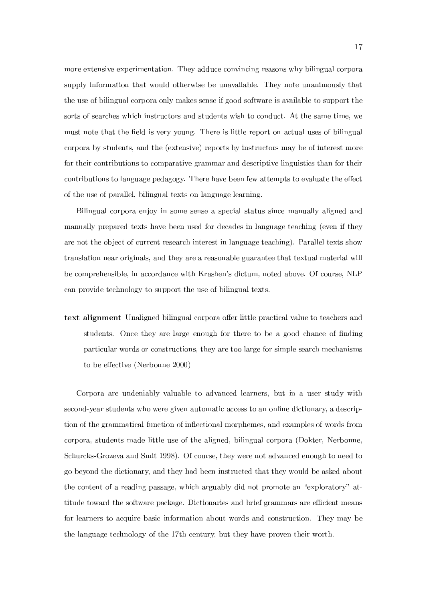more extensive experimentation. They adduce convincing reasons why bilingual corpora supply information that would otherwise be unavailable. They note unanimously that the use of bilingual corpora only makes sense if good software is available to support the sorts of searches which instructors and students wish to conduct. At the same time, we must note that the field is very young. There is little report on actual uses of bilingual corpora by students, and the (extensive) reports by instructors may be of interest more for their contributions to comparative grammar and descriptive linguistics than for their contributions to language pedagogy. There have been few attempts to evaluate the effect of the use of parallel, bilingual texts on language learning.

Bilingual corpora enjoy in some sense a special status since manually aligned and manually prepared texts have been used for decades in language teaching (even if they are not the object of current research interest in language teaching). Parallel texts show translation near originals, and they are a reasonable guarantee that textual material will be comprehensible, in accordance with Krashen's dictum, noted above. Of course, NLP can provide technology to support the use of bilingual texts.

text alignment Unaligned bilingual corpora offer little practical value to teachers and students. Once they are large enough for there to be a good chance of finding particular words or constructions, they are too large for simple search mechanisms to be effective (Nerbonne 2000)

Corpora are undeniably valuable to advanced learners, but in a user study with second-year students who were given automatic access to an online dictionary, a description of the grammatical function of inflectional morphemes, and examples of words from corpora, students made little use of the aligned, bilingual corpora (Dokter, Nerbonne, Schurcks-Grozeva and Smit 1998). Of course, they were not advanced enough to need to go beyond the dictionary, and they had been instructed that they would be asked about the content of a reading passage, which arguably did not promote an "exploratory" attitude toward the software package. Dictionaries and brief grammars are efficient means for learners to acquire basic information about words and construction. They may be the language technology of the 17th century, but they have proven their worth.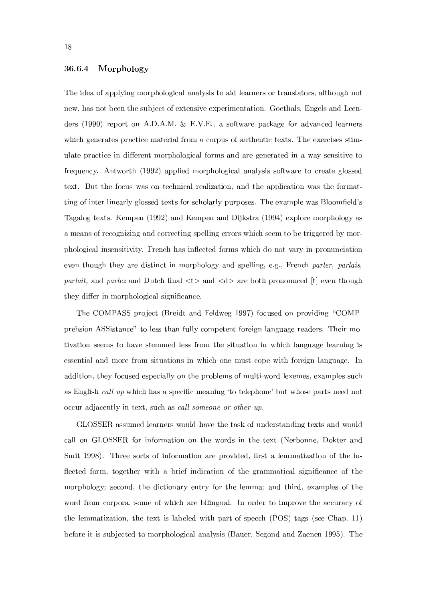### Morphology 36.6.4

The idea of applying morphological analysis to aid learners or translators, although not new, has not been the subject of extensive experimentation. Goethals, Engels and Leenders (1990) report on A.D.A.M. & E.V.E., a software package for advanced learners which generates practice material from a corpus of authentic texts. The exercises stimulate practice in different morphological forms and are generated in a way sensitive to frequency. Antworth (1992) applied morphological analysis software to create glossed text. But the focus was on technical realization, and the application was the formatting of inter-linearly glossed texts for scholarly purposes. The example was Bloomfield's Tagalog texts. Kempen (1992) and Kempen and Dijkstra (1994) explore morphology as a means of recognizing and correcting spelling errors which seem to be triggered by morphological insensitivity. French has inflected forms which do not vary in pronunciation even though they are distinct in morphology and spelling, e.g., French parler, parlais, *parlait*, and *parlez* and Dutch final  $\langle t \rangle$  and  $\langle d \rangle$  are both pronounced [t] even though they differ in morphological significance.

The COMPASS project (Breidt and Feldweg 1997) focused on providing "COMPprehsion ASS istance" to less than fully competent foreign language readers. Their motivation seems to have stemmed less from the situation in which language learning is essential and more from situations in which one must cope with foreign language. In addition, they focused especially on the problems of multi-word lexemes, examples such as English call up which has a specific meaning 'to telephone' but whose parts need not occur adjacently in text, such as call someone or other up.

GLOSSER assumed learners would have the task of understanding texts and would call on GLOSSER for information on the words in the text (Nerbonne, Dokter and Smit 1998). Three sorts of information are provided, first a lemmatization of the inflected form, together with a brief indication of the grammatical significance of the morphology; second, the dictionary entry for the lemma; and third, examples of the word from corpora, some of which are bilingual. In order to improve the accuracy of the lemmatization, the text is labeled with part-of-speech (POS) tags (see Chap. 11) before it is subjected to morphological analysis (Bauer, Segond and Zaenen 1995). The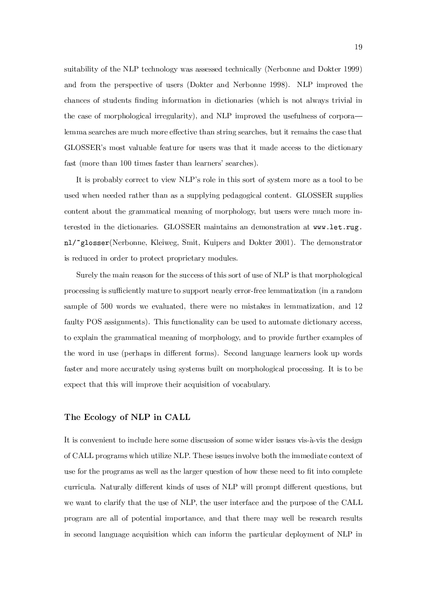suitability of the NLP technology was assessed technically (Nerbonne and Dokter 1999) and from the perspective of users (Dokter and Nerbonne 1998). NLP improved the chances of students finding information in dictionaries (which is not always trivial in the case of morphological irregularity), and NLP improved the usefulness of corporalemma searches are much more effective than string searches, but it remains the case that GLOSSER's most valuable feature for users was that it made access to the dictionary fast (more than 100 times faster than learners' searches).

It is probably correct to view NLP's role in this sort of system more as a tool to be used when needed rather than as a supplying pedagogical content. GLOSSER supplies content about the grammatical meaning of morphology, but users were much more interested in the dictionaries. GLOSSER maintains an demonstration at www.let.rug. nl/~glosser(Nerbonne, Kleiweg, Smit, Kuipers and Dokter 2001). The demonstrator is reduced in order to protect proprietary modules.

Surely the main reason for the success of this sort of use of NLP is that morphological processing is sufficiently mature to support nearly error-free lemmatization (in a random sample of 500 words we evaluated, there were no mistakes in lemmatization, and 12 faulty POS assignments). This functionality can be used to automate dictionary access, to explain the grammatical meaning of morphology, and to provide further examples of the word in use (perhaps in different forms). Second language learners look up words faster and more accurately using systems built on morphological processing. It is to be expect that this will improve their acquisition of vocabulary.

# The Ecology of NLP in CALL

It is convenient to include here some discussion of some wider issues vis-à-vis the design of CALL programs which utilize NLP. These issues involve both the immediate context of use for the programs as well as the larger question of how these need to fit into complete curricula. Naturally different kinds of uses of NLP will prompt different questions, but we want to clarify that the use of NLP, the user interface and the purpose of the CALL program are all of potential importance, and that there may well be research results in second language acquisition which can inform the particular deployment of NLP in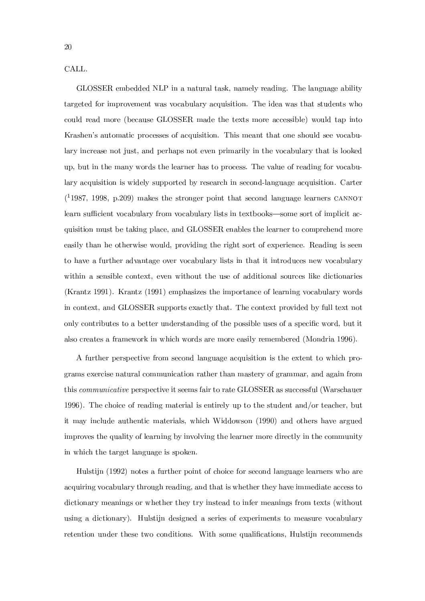20

GLOSSER embedded NLP in a natural task, namely reading. The language ability targeted for improvement was vocabulary acquisition. The idea was that students who could read more (because GLOSSER made the texts more accessible) would tap into Krashen's automatic processes of acquisition. This meant that one should see vocabulary increase not just, and perhaps not even primarily in the vocabulary that is looked up, but in the many words the learner has to process. The value of reading for vocabulary acquisition is widely supported by research in second-language acquisition. Carter  $(^{1}1987, 1998, p.209)$  makes the stronger point that second language learners CANNOT learn sufficient vocabulary from vocabulary lists in textbooks—some sort of implicit acquisition must be taking place, and GLOSSER enables the learner to comprehend more easily than he otherwise would, providing the right sort of experience. Reading is seen to have a further advantage over vocabulary lists in that it introduces new vocabulary within a sensible context, even without the use of additional sources like dictionaries (Krantz 1991). Krantz (1991) emphasizes the importance of learning vocabulary words in context, and GLOSSER supports exactly that. The context provided by full text not only contributes to a better understanding of the possible uses of a specific word, but it also creates a framework in which words are more easily remembered (Mondria 1996).

A further perspective from second language acquisition is the extent to which programs exercise natural communication rather than mastery of grammar, and again from this *communicative* perspective it seems fair to rate GLOSSER as successful (Warschauer 1996). The choice of reading material is entirely up to the student and/or teacher, but it may include authentic materials, which Widdowson (1990) and others have argued improves the quality of learning by involving the learner more directly in the community in which the target language is spoken.

Hulstijn (1992) notes a further point of choice for second language learners who are acquiring vocabulary through reading, and that is whether they have immediate access to dictionary meanings or whether they try instead to infer meanings from texts (without using a dictionary). Hulstijn designed a series of experiments to measure vocabulary retention under these two conditions. With some qualifications, Hulstijn recommends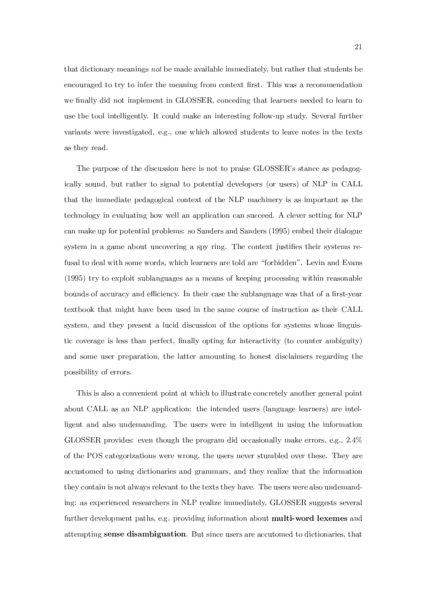that dictionary meanings not be made available immediately, but rather that students be encouraged to try to infer the meaning from context first. This was a recommendation we finally did not implement in GLOSSER, conceding that learners needed to learn to use the tool intelligently. It could make an interesting follow-up study. Several further variants were investigated, e.g., one which allowed students to leave notes in the texts as they read.

The purpose of the discussion here is not to praise GLOSSER's stance as pedagogically sound, but rather to signal to potential developers (or users) of NLP in CALL that the immediate pedagogical context of the NLP machinery is as important as the technology in evaluating how well an application can succeed. A clever setting for NLP can make up for potential problems: so Sanders and Sanders (1995) embed their dialogue system in a game about uncovering a spy ring. The context justifies their systems refusal to deal with some words, which learners are told are "forbidden". Levin and Evans (1995) try to exploit sublanguages as a means of keeping processing within reasonable bounds of accuracy and efficiency. In their case the sublanguage was that of a first-year textbook that might have been used in the same course of instruction as their CALL system, and they present a lucid discussion of the options for systems whose linguistic coverage is less than perfect, finally opting for interactivity (to counter ambiguity) and some user preparation, the latter amounting to honest disclaimers regarding the possibility of errors.

This is also a convenient point at which to illustrate concretely another general point about CALL as an NLP application: the intended users (language learners) are intelligent and also undemanding. The users were in intelligent in using the information GLOSSER provides: even though the program did occasionally make errors, e.g.,  $2.4\%$ of the POS categorizations were wrong, the users never stumbled over these. They are accustomed to using dictionaries and grammars, and they realize that the information they contain is not always relevant to the texts they have. The users were also undemanding: as experienced researchers in NLP realize immediately, GLOSSER suggests several further development paths, e.g. providing information about **multi-word lexemes** and attempting sense disambiguation. But since users are accutomed to dictionaries, that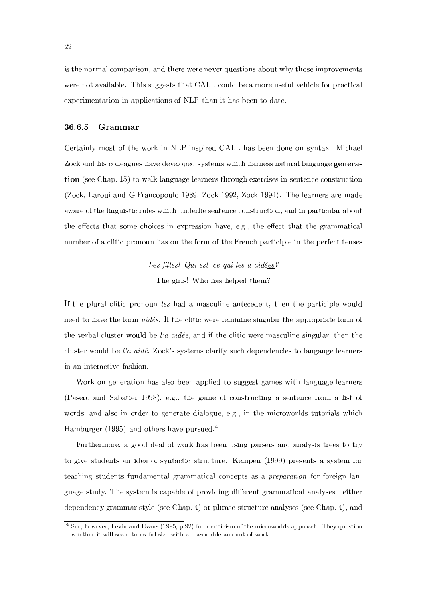is the normal comparison, and there were never questions about why those improvements were not available. This suggests that CALL could be a more useful vehicle for practical experimentation in applications of NLP than it has been to-date.

#### 36.6.5 Grammar

Certainly most of the work in NLP-inspired CALL has been done on syntax. Michael Zock and his colleagues have developed systems which harness natural language generation (see Chap. 15) to walk language learners through exercises in sentence construction (Zock, Laroui and G.Francopoulo 1989, Zock 1992, Zock 1994). The learners are made aware of the linguistic rules which underlie sentence construction, and in particular about the effects that some choices in expression have, e.g., the effect that the grammatical number of a clitic pronoun has on the form of the French participle in the perfect tenses

> Les filles! Qui est-ce qui les a aidées? The girls! Who has helped them?

If the plural clitic pronoun les had a masculine antecedent, then the participle would need to have the form *aidés*. If the clitic were feminine singular the appropriate form of the verbal cluster would be  $l'a$  aidée, and if the clitic were masculine singular, then the cluster would be  $l'a$  aidé. Zock's systems clarify such dependencies to language learners in an interactive fashion.

Work on generation has also been applied to suggest games with language learners (Pasero and Sabatier 1998), e.g., the game of constructing a sentence from a list of words, and also in order to generate dialogue, e.g., in the microworlds tutorials which Hamburger (1995) and others have pursued.<sup>4</sup>

Furthermore, a good deal of work has been using parsers and analysis trees to try to give students an idea of syntactic structure. Kempen (1999) presents a system for teaching students fundamental grammatical concepts as a *preparation* for foreign language study. The system is capable of providing different grammatical analyses—either dependency grammar style (see Chap. 4) or phrase-structure analyses (see Chap. 4), and

See, however, Levin and Evans (1995, p.92) for a criticism of the microworlds approach. They question whether it will scale to useful size with a reasonable amount of work.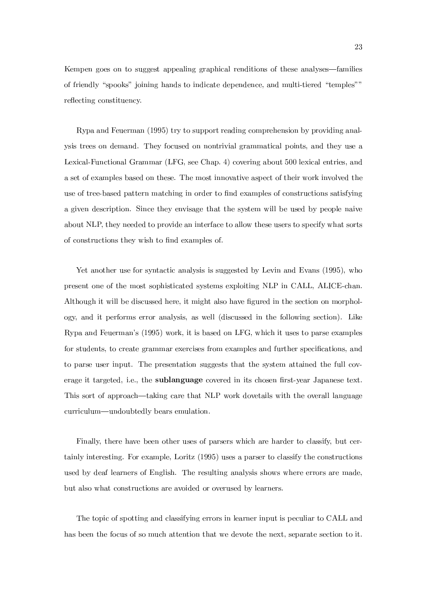Kempen goes on to suggest appealing graphical renditions of these analyses—families of friendly "spooks" joining hands to indicate dependence, and multi-tiered "temples"" reflecting constituency.

Rypa and Feuerman (1995) try to support reading comprehension by providing analysis trees on demand. They focused on nontrivial grammatical points, and they use a Lexical-Functional Grammar (LFG, see Chap. 4) covering about 500 lexical entries, and a set of examples based on these. The most innovative aspect of their work involved the use of tree-based pattern matching in order to find examples of constructions satisfying a given description. Since they envisage that the system will be used by people naive about NLP, they needed to provide an interface to allow these users to specify what sorts of constructions they wish to find examples of.

Yet another use for syntactic analysis is suggested by Levin and Evans (1995), who present one of the most sophisticated systems exploiting NLP in CALL, ALICE-chan. Although it will be discussed here, it might also have figured in the section on morphology, and it performs error analysis, as well (discussed in the following section). Like Rypa and Feuerman's (1995) work, it is based on LFG, which it uses to parse examples for students, to create grammar exercises from examples and further specifications, and to parse user input. The presentation suggests that the system attained the full coverage it targeted, i.e., the **sublanguage** covered in its chosen first-year Japanese text. This sort of approach—taking care that NLP work dovetails with the overall language curriculum—undoubtedly bears emulation.

Finally, there have been other uses of parsers which are harder to classify, but certainly interesting. For example, Loritz (1995) uses a parser to classify the constructions used by deaf learners of English. The resulting analysis shows where errors are made. but also what constructions are avoided or overused by learners.

The topic of spotting and classifying errors in learner input is peculiar to CALL and has been the focus of so much attention that we devote the next, separate section to it.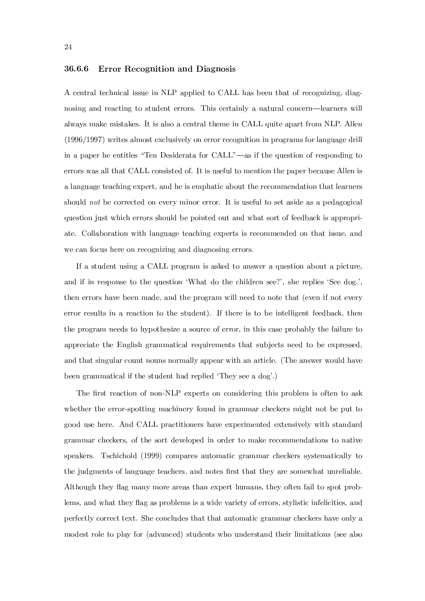### **Error Recognition and Diagnosis** 36.6.6

A central technical issue in NLP applied to CALL has been that of recognizing, diagnosing and reacting to student errors. This certainly a natural concern—learners will always make mistakes. It is also a central theme in CALL quite apart from NLP. Allen (1996/1997) writes almost exclusively on error recognition in programs for language drill in a paper he entitles "Ten Desiderata for CALL"—as if the question of responding to errors was all that CALL consisted of. It is useful to mention the paper because Allen is a language teaching expert, and he is emphatic about the recommendation that learners should not be corrected on every minor error. It is useful to set aside as a pedagogical question just which errors should be pointed out and what sort of feedback is appropriate. Collaboration with language teaching experts is recommended on that issue, and we can focus here on recognizing and diagnosing errors.

If a student using a CALL program is asked to answer a question about a picture. and if in response to the question 'What do the children see?', she replies 'See dog.', then errors have been made, and the program will need to note that (even if not every error results in a reaction to the student). If there is to be intelligent feedback, then the program needs to hypothesize a source of error, in this case probably the failure to appreciate the English grammatical requirements that subjects need to be expressed, and that singular count nouns normally appear with an article. (The answer would have been grammatical if the student had replied 'They see a dog'.)

The first reaction of non-NLP experts on considering this problem is often to ask whether the error-spotting machinery found in grammar checkers might not be put to good use here. And CALL practitioners have experimented extensively with standard grammar checkers, of the sort developed in order to make recommendations to native speakers. Tschichold (1999) compares automatic grammar checkers systematically to the judgments of language teachers, and notes first that they are somewhat unreliable. Although they flag many more areas than expert humans, they often fail to spot problems, and what they flag as problems is a wide variety of errors, stylistic infelicities, and perfectly correct text. She concludes that that automatic grammar checkers have only a modest role to play for (advanced) students who understand their limitations (see also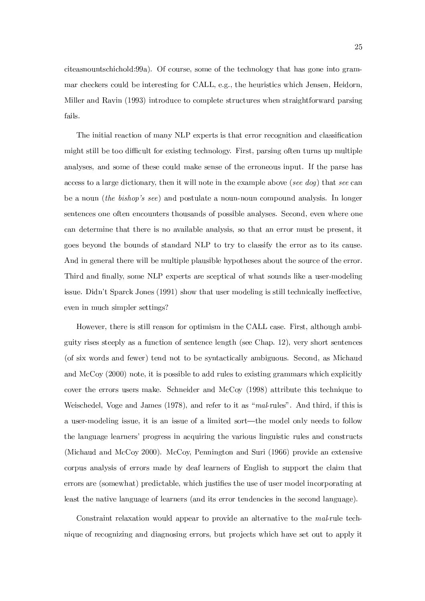cite as nounts chichold: 99a). Of course, some of the technology that has gone into grammar checkers could be interesting for CALL, e.g., the heuristics which Jensen, Heidorn, Miller and Ravin (1993) introduce to complete structures when straightforward parsing fails.

The initial reaction of many NLP experts is that error recognition and classification might still be too difficult for existing technology. First, parsing often turns up multiple analyses, and some of these could make sense of the erroneous input. If the parse has access to a large dictionary, then it will note in the example above (see dog) that see can be a noun *(the bishop's see)* and postulate a noun-noun compound analysis. In longer sentences one often encounters thousands of possible analyses. Second, even where one can determine that there is no available analysis, so that an error must be present, it goes beyond the bounds of standard NLP to try to classify the error as to its cause. And in general there will be multiple plausible hypotheses about the source of the error. Third and finally, some NLP experts are sceptical of what sounds like a user-modeling issue. Didn't Sparck Jones (1991) show that user modeling is still technically ineffective, even in much simpler settings?

However, there is still reason for optimism in the CALL case. First, although ambiguity rises steeply as a function of sentence length (see Chap. 12), very short sentences (of six words and fewer) tend not to be syntactically ambiguous. Second, as Michaud and McCoy (2000) note, it is possible to add rules to existing grammars which explicitly cover the errors users make. Schneider and McCoy (1998) attribute this technique to Weischedel, Voge and James (1978), and refer to it as "mal-rules". And third, if this is a user-modeling issue, it is an issue of a limited sort—the model only needs to follow the language learners' progress in acquiring the various linguistic rules and constructs (Michaud and McCoy 2000). McCoy, Pennington and Suri (1966) provide an extensive corpus analysis of errors made by deaf learners of English to support the claim that errors are (somewhat) predictable, which justifies the use of user model incorporating at least the native language of learners (and its error tendencies in the second language).

Constraint relaxation would appear to provide an alternative to the mal-rule technique of recognizing and diagnosing errors, but projects which have set out to apply it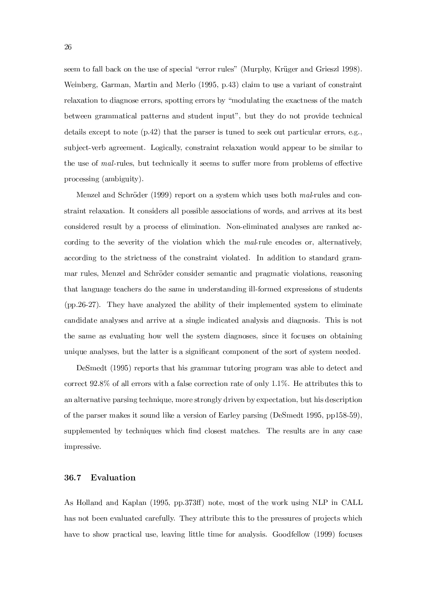seem to fall back on the use of special "error rules" (Murphy, Krüger and Grieszl 1998). Weinberg, Garman, Martin and Merlo (1995, p.43) claim to use a variant of constraint relaxation to diagnose errors, spotting errors by "modulating the exactness of the match between grammatical patterns and student input", but they do not provide technical details except to note  $(p.42)$  that the parser is tuned to seek out particular errors, e.g., subject-verb agreement. Logically, constraint relaxation would appear to be similar to the use of mal-rules, but technically it seems to suffer more from problems of effective processing (ambiguity).

Menzel and Schröder (1999) report on a system which uses both mal-rules and constraint relaxation. It considers all possible associations of words, and arrives at its best considered result by a process of elimination. Non-eliminated analyses are ranked according to the severity of the violation which the mal-rule encodes or, alternatively, according to the strictness of the constraint violated. In addition to standard grammar rules, Menzel and Schröder consider semantic and pragmatic violations, reasoning that language teachers do the same in understanding ill-formed expressions of students (pp.26-27). They have analyzed the ability of their implemented system to eliminate candidate analyses and arrive at a single indicated analysis and diagnosis. This is not the same as evaluating how well the system diagnoses, since it focuses on obtaining unique analyses, but the latter is a significant component of the sort of system needed.

DeSmedt (1995) reports that his grammar tutoring program was able to detect and correct 92.8% of all errors with a false correction rate of only 1.1%. He attributes this to an alternative parsing technique, more strongly driven by expectation, but his description of the parser makes it sound like a version of Earley parsing (DeSmedt 1995, pp158-59), supplemented by techniques which find closest matches. The results are in any case impressive.

#### 36.7 Evaluation

As Holland and Kaplan (1995, pp.373ff) note, most of the work using NLP in CALL has not been evaluated carefully. They attribute this to the pressures of projects which have to show practical use, leaving little time for analysis. Goodfellow (1999) focuses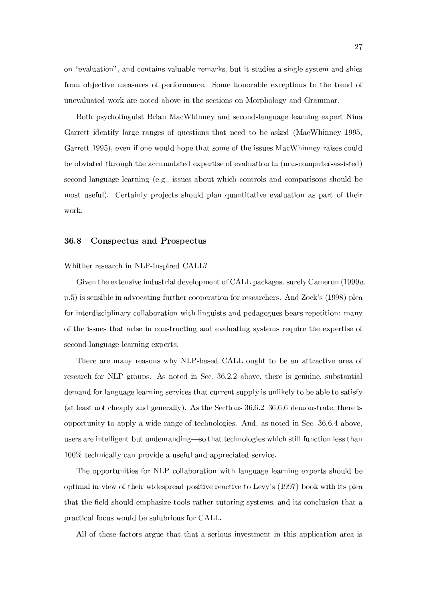on "evaluation", and contains valuable remarks, but it studies a single system and shies from objective measures of performance. Some honorable exceptions to the trend of unevaluated work are noted above in the sections on Morphology and Grammar.

Both psycholinguist Brian MacWhinney and second-language learning expert Nina Garrett identify large ranges of questions that need to be asked (MacWhinney 1995, Garrett 1995), even if one would hope that some of the issues MacWhinney raises could be obviated through the accumulated expertise of evaluation in (non-computer-assisted) second-language learning (e.g., issues about which controls and comparisons should be most useful). Certainly projects should plan quantitative evaluation as part of their work.

#### 36.8 **Conspectus and Prospectus**

Whither research in NLP-inspired CALL?

Given the extensive industrial development of CALL packages, surely Cameron (1999a, p.5) is sensible in advocating further cooperation for researchers. And Zock's (1998) plea for interdisciplinary collaboration with linguists and pedagogues bears repetition: many of the issues that arise in constructing and evaluating systems require the expertise of second-language learning experts.

There are many reasons why NLP-based CALL ought to be an attractive area of research for NLP groups. As noted in Sec. 36.2.2 above, there is genuine, substantial demand for language learning services that current supply is unlikely to be able to satisfy (at least not cheaply and generally). As the Sections 36.6.2–36.6.6 demonstrate, there is opportunity to apply a wide range of technologies. And, as noted in Sec. 36.6.4 above, users are intelligent but undemanding—so that technologies which still function less than  $100\%$  technically can provide a useful and appreciated service.

The opportunities for NLP collaboration with language learning experts should be optimal in view of their widespread positive reactive to Levy's (1997) book with its plea that the field should emphasize tools rather tutoring systems, and its conclusion that a practical focus would be salubrious for CALL.

All of these factors argue that that a serious investment in this application area is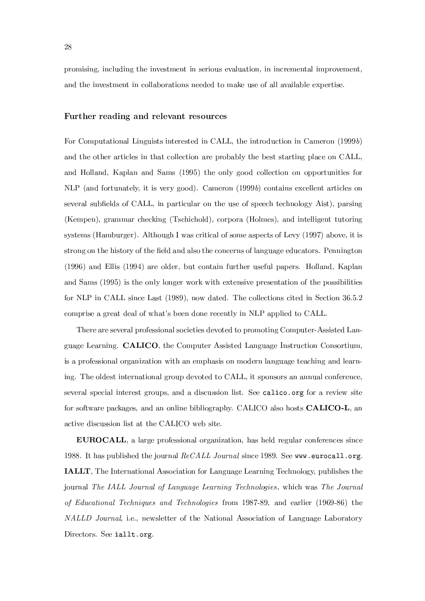promising, including the investment in serious evaluation, in incremental improvement, and the investment in collaborations needed to make use of all available expertise.

## Further reading and relevant resources

For Computational Linguists interested in CALL, the introduction in Cameron (1999b) and the other articles in that collection are probably the best starting place on CALL, and Holland, Kaplan and Sams (1995) the only good collection on opportunities for NLP (and fortunately, it is very good). Cameron (1999b) contains excellent articles on several subfields of CALL, in particular on the use of speech technology Aist), parsing (Kempen), grammar checking (Tschichold), corpora (Holmes), and intelligent tutoring systems (Hamburger). Although I was critical of some aspects of Levy (1997) above, it is strong on the history of the field and also the concerns of language educators. Pennington (1996) and Ellis (1994) are older, but contain further useful papers. Holland, Kaplan and Sams (1995) is the only longer work with extensive presentation of the possibilities for NLP in CALL since Last (1989), now dated. The collections cited in Section 36.5.2 comprise a great deal of what's been done recently in NLP applied to CALL.

There are several professional societies devoted to promoting Computer-Assisted Language Learning. CALICO, the Computer Assisted Language Instruction Consortium, is a professional organization with an emphasis on modern language teaching and learning. The oldest international group devoted to CALL, it sponsors an annual conference, several special interest groups, and a discussion list. See calico.org for a review site for software packages, and an online bibliography. CALICO also hosts **CALICO-L**, an active discussion list at the CALICO web site.

**EUROCALL**, a large professional organization, has held regular conferences since 1988. It has published the journal  $ReCALL$  Journal since 1989. See www.eurocall.org. **IALLT**, The International Association for Language Learning Technology, publishes the journal The IALL Journal of Language Learning Technologies, which was The Journal of Educational Techniques and Technologies from 1987-89, and earlier (1969-86) the *NALLD Journal*, i.e., newsletter of the National Association of Language Laboratory Directors. See iallt.org.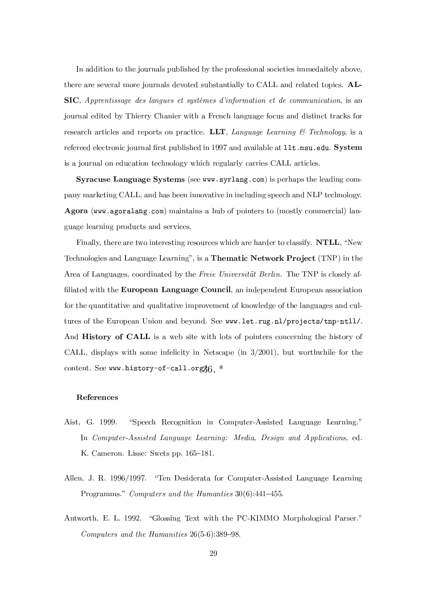In addition to the journals published by the professional societies immedaitely above. there are several more journals devoted substantially to CALL and related topics. AL-SIC, Apprentissage des langues et systèmes d'information et de communication, is an journal edited by Thierry Chanier with a French language focus and distinct tracks for research articles and reports on practice. LLT, Language Learning & Technology, is a refereed electronic journal first published in 1997 and available at 11t.msu.edu. System is a journal on education technology which regularly carries CALL articles.

Syracuse Language Systems (see www.syrlang.com) is perhaps the leading company marketing CALL, and has been innovative in including speech and NLP technology. Agora (www.agoralang.com) maintains a hub of pointers to (mostly commercial) language learning products and services.

Finally, there are two interesting resources which are harder to classify. **NTLL**, "New Technologies and Language Learning", is a Thematic Network Project (TNP) in the Area of Languages, coordinated by the Freie Universität Berlin. The TNP is closely affiliated with the **European Language Council**, an independent European association for the quantitative and qualitative improvement of knowledge of the languages and cultures of the European Union and beyond. See www.let.rug.nl/projects/tnp-ntll/. And History of CALL is a web site with lots of pointers concerning the history of CALL, displays with some infelicity in Netscape (in  $3/2001$ ), but worthwhile for the content. See www.history-of-call.org36. \*

# References

- Aist. G. 1999. "Speech Recognition in Computer-Assisted Language Learning." In Computer-Assisted Language Learning: Media, Design and Applications, ed. K. Cameron. Lisse: Swets pp. 165-181.
- Allen, J. R. 1996/1997. "Ten Desiderata for Computer-Assisted Language Learning Programms." Computers and the Humanties 30(6):441-455.
- Antworth, E. L. 1992. "Glossing Text with the PC-KIMMO Morphological Parser." Computers and the Humanities 26(5-6):389-98.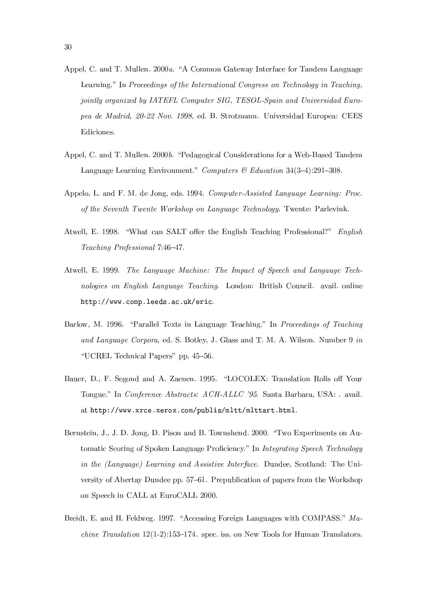- Appel, C. and T. Mullen. 2000a. "A Common Gateway Interface for Tandem Language Learning." In Proceedings of the International Congress on Technology in Teaching, jointly organized by IATEFL Computer SIG, TESOL-Spain and Universidad Europea de Madrid, 20-22 Nov. 1998, ed. B. Strotmann. Universidad Europea: CEES Ediciones.
- Appel, C. and T. Mullen. 2000b. "Pedagogical Considerations for a Web-Based Tandem Language Learning Environment." Computers & Education  $34(3-4):291-308$ .
- Appelo, L. and F. M. de Jong, eds. 1994. Computer-Assisted Language Learning: Proc. of the Seventh Twente Workshop on Language Technology. Twente: Parlevink.
- Atwell, E. 1998. "What can SALT offer the English Teaching Professional?"  $English$ Teaching Professional 7:46-47.
- Atwell, E. 1999. The Language Machine: The Impact of Speech and Language Technologies on English Language Teaching. London: British Council. avail. online http://www.comp.leeds.ac.uk/eric.
- Barlow, M. 1996. "Parallel Texts in Language Teaching." In Proceedings of Teaching and Language Corpora, ed. S. Botley, J. Glass and T. M. A. Wilson, Number 9 in "UCREL Technical Papers" pp. 45–56.
- Bauer, D., F. Segond and A. Zaenen. 1995. "LOCOLEX: Translation Rolls off Your Tongue." In Conference Abstracts: ACH-ALLC '95. Santa Barbara, USA: . avail. at http://www.xrce.xerox.com/publis/mltt/mlttart.html.
- Bernstein, J., J. D. Jong, D. Pison and B. Townshend. 2000. "Two Experiments on Automatic Scoring of Spoken Language Proficiency." In Integrating Speech Technology in the (Language) Learning and Assistive Interface. Dundee, Scotland: The University of Abertay Dundee pp. 57–61. Prepublication of papers from the Workshop on Speech in CALL at EuroCALL 2000.
- Breidt, E. and H. Feldweg. 1997. "Accessing Foreign Languages with COMPASS." Ma*chine Translation*  $12(1-2):153-174$ . spec. iss. on New Tools for Human Translators.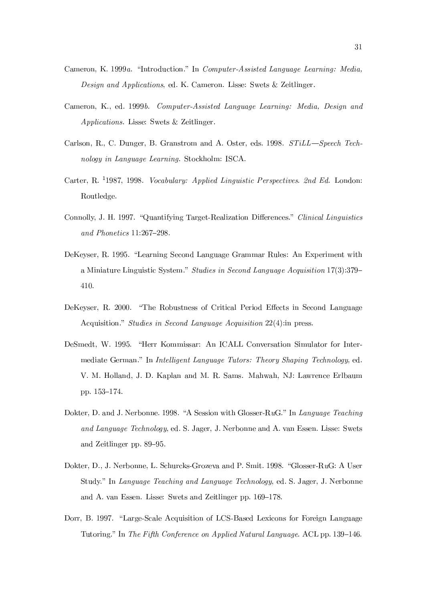- Cameron, K. 1999a. "Introduction." In Computer-Assisted Language Learning: Media, Design and Applications, ed. K. Cameron. Lisse: Swets & Zeitlinger.
- Cameron, K., ed. 1999b. Computer-Assisted Language Learning: Media, Design and *Applications.* Lisse: Swets & Zeitlinger.
- Carlson, R., C. Dunger, B. Granstrom and A. Oster, eds. 1998. STiLL—Speech Technology in Language Learning. Stockholm: ISCA.
- Carter, R. <sup>1</sup>1987, 1998. *Vocabulary: Applied Linguistic Perspectives. 2nd Ed.* London: Routledge.
- Connolly, J. H. 1997. "Quantifying Target-Realization Differences." Clinical Linguistics and Phonetics 11:267-298.
- DeKeyser, R. 1995. "Learning Second Language Grammar Rules: An Experiment with a Miniature Linguistic System." Studies in Second Language Acquisition 17(3):379– 410.
- DeKeyser, R. 2000. "The Robustness of Critical Period Effects in Second Language Acquisition." Studies in Second Language Acquisition 22(4):in press.
- DeSmedt, W. 1995. "Herr Kommissar: An ICALL Conversation Simulator for Intermediate German." In Intelligent Language Tutors: Theory Shaping Technology, ed. V. M. Holland, J. D. Kaplan and M. R. Sams. Mahwah, NJ: Lawrence Erlbaum pp. 153-174.
- Dokter, D. and J. Nerbonne, 1998. "A Session with Glosser-RuG." In Language Teaching and Language Technology, ed. S. Jager, J. Nerbonne and A. van Essen. Lisse: Swets and Zeitlinger pp. 89–95.
- Dokter, D., J. Nerbonne, L. Schurcks-Grozeva and P. Smit. 1998. "Glosser-RuG: A User Study." In Language Teaching and Language Technology, ed. S. Jager, J. Nerbonne and A. van Essen. Lisse: Swets and Zeitlinger pp. 169–178.
- Dorr, B. 1997. "Large-Scale Acquisition of LCS-Based Lexicons for Foreign Language Tutoring." In The Fifth Conference on Applied Natural Language. ACL pp. 139–146.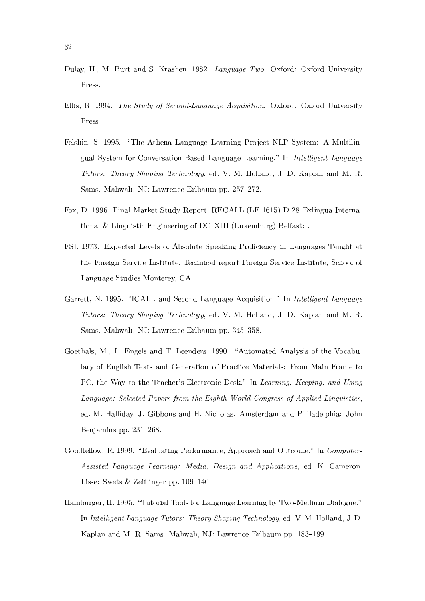- Dulay, H., M. Burt and S. Krashen. 1982. Language Two. Oxford: Oxford University Press.
- Ellis, R. 1994. The Study of Second-Language Acquisition. Oxford: Oxford University Press.
- Felshin, S. 1995. "The Athena Language Learning Project NLP System: A Multilingual System for Conversation-Based Language Learning." In Intelligent Language Tutors: Theory Shaping Technology, ed. V. M. Holland, J. D. Kaplan and M. R. Sams. Mahwah, NJ: Lawrence Erlbaum pp. 257–272.
- Fox, D. 1996. Final Market Study Report. RECALL (LE 1615) D-28 Exlingua International  $\&$  Linguistic Engineering of DG XIII (Luxemburg) Belfast: .
- FSI, 1973. Expected Levels of Absolute Speaking Proficiency in Languages Taught at the Foreign Service Institute. Technical report Foreign Service Institute, School of Language Studies Monterey, CA:..
- Garrett, N. 1995. "ICALL and Second Language Acquisition." In Intelligent Language Tutors: Theory Shaping Technology, ed. V. M. Holland, J. D. Kaplan and M. R. Sams. Mahwah, NJ: Lawrence Erlbaum pp. 345–358.
- Goethals, M., L. Engels and T. Leenders. 1990. "Automated Analysis of the Vocabulary of English Texts and Generation of Practice Materials: From Main Frame to PC, the Way to the Teacher's Electronic Desk." In Learning, Keeping, and Using Language: Selected Papers from the Eighth World Congress of Applied Linguistics, ed. M. Halliday, J. Gibbons and H. Nicholas. Amsterdam and Philadelphia: John Benjamins pp. 231–268.
- Goodfellow, R. 1999. "Evaluating Performance, Approach and Outcome." In Computer-Assisted Language Learning: Media, Design and Applications, ed. K. Cameron. Lisse: Swets  $&$  Zeitlinger pp. 109–140.
- Hamburger, H. 1995. "Tutorial Tools for Language Learning by Two-Medium Dialogue." In Intelligent Language Tutors: Theory Shaping Technology, ed. V. M. Holland, J. D. Kaplan and M. R. Sams. Mahwah, NJ: Lawrence Erlbaum pp. 183–199.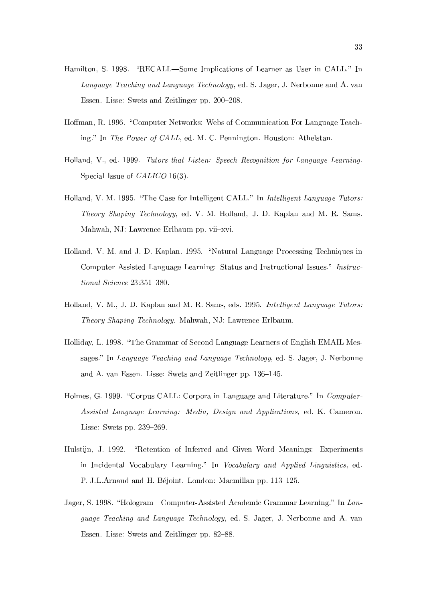- Hamilton, S. 1998. "RECALL—Some Implications of Learner as User in CALL." In Language Teaching and Language Technology, ed. S. Jager, J. Nerbonne and A. van Essen. Lisse: Swets and Zeitlinger pp. 200–208.
- Hoffman, R. 1996. "Computer Networks: Webs of Communication For Language Teaching." In The Power of CALL, ed. M. C. Pennington. Houston: Athelstan.
- Holland, V., ed. 1999. Tutors that Listen: Speech Recognition for Language Learning. Special Issue of *CALICO* 16(3).
- Holland, V. M. 1995. "The Case for Intelligent CALL." In Intelligent Language Tutors: *Theory Shaping Technology*, ed. V. M. Holland, J. D. Kaplan and M. R. Sams. Mahwah, NJ: Lawrence Erlbaum pp. vii-xvi.
- Holland, V. M. and J. D. Kaplan. 1995. "Natural Language Processing Techniques in Computer Assisted Language Learning: Status and Instructional Issues." Instructional Science 23:351-380.
- Holland, V. M., J. D. Kaplan and M. R. Sams, eds. 1995. Intelligent Language Tutors: Theory Shaping Technology. Mahwah, NJ: Lawrence Erlbaum.
- Holliday, L. 1998. "The Grammar of Second Language Learners of English EMAIL Messages." In Language Teaching and Language Technology, ed. S. Jager, J. Nerbonne and A. van Essen. Lisse: Swets and Zeitlinger pp. 136–145.
- Holmes, G. 1999. "Corpus CALL: Corpora in Language and Literature." In Computer-Assisted Language Learning: Media, Design and Applications, ed. K. Cameron. Lisse: Swets pp.  $239-269$ .
- Hulstijn, J. 1992. "Retention of Inferred and Given Word Meanings: Experiments in Incidental Vocabulary Learning." In Vocabulary and Applied Linguistics, ed. P. J.L.Arnaud and H. Béjoint. London: Macmillan pp. 113–125.
- Jager, S. 1998. "Hologram—Computer-Assisted Academic Grammar Learning." In Lanquage Teaching and Language Technology, ed. S. Jager, J. Nerbonne and A. van Essen. Lisse: Swets and Zeitlinger pp. 82–88.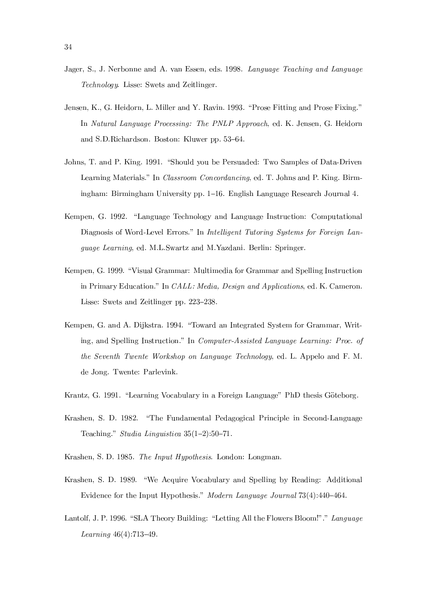- Jager, S., J. Nerbonne and A. van Essen, eds. 1998. Language Teaching and Language Technology. Lisse: Swets and Zeitlinger.
- Jensen, K., G. Heidorn, L. Miller and Y. Ravin. 1993. "Prose Fitting and Prose Fixing." In Natural Language Processing: The PNLP Approach, ed. K. Jensen, G. Heidorn and S.D.Richardson. Boston: Kluwer pp. 53-64.
- Johns, T. and P. King. 1991. "Should you be Persuaded: Two Samples of Data-Driven Learning Materials." In Classroom Concordancing, ed. T. Johns and P. King. Birmingham: Birmingham University pp. 1–16. English Language Research Journal 4.
- Kempen, G. 1992. "Language Technology and Language Instruction: Computational Diagnosis of Word-Level Errors." In Intelligent Tutoring Systems for Foreign Lan*quage Learning*, ed. M.L.Swartz and M.Yazdani. Berlin: Springer.
- Kempen, G. 1999. "Visual Grammar: Multimedia for Grammar and Spelling Instruction in Primary Education." In *CALL: Media, Design and Applications, ed. K. Cameron.* Lisse: Swets and Zeitlinger pp. 223–238.
- Kempen, G. and A. Dijkstra. 1994. "Toward an Integrated System for Grammar. Writing, and Spelling Instruction." In Computer-Assisted Language Learning: Proc. of the Seventh Twente Workshop on Language Technology, ed. L. Appelo and F. M. de Jong. Twente: Parlevink.
- Krantz, G. 1991. "Learning Vocabulary in a Foreign Language" PhD thesis Göteborg.
- Krashen, S. D. 1982. "The Fundamental Pedagogical Principle in Second-Language Teaching." Studia Linguistica  $35(1-2)$ :50-71.
- Krashen, S. D. 1985. The Input Hypothesis. London: Longman.
- Krashen, S. D. 1989. "We Acquire Vocabulary and Spelling by Reading: Additional Evidence for the Input Hypothesis." Modern Language Journal 73(4):440-464.
- Lantolf, J. P. 1996. "SLA Theory Building: "Letting All the Flowers Bloom!"." Language Learning  $46(4)$ :713-49.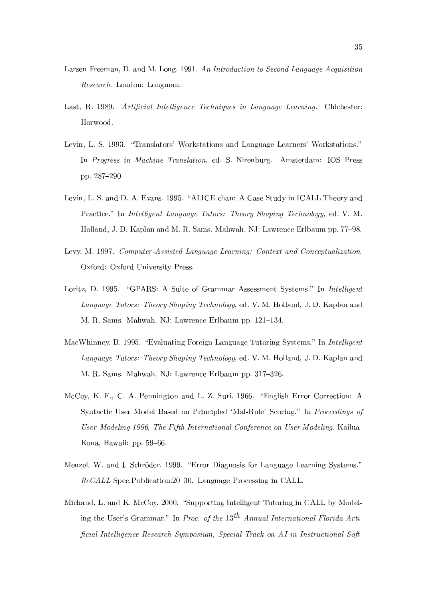- Larsen-Freeman, D. and M. Long. 1991. An Introduction to Second Language Acquisition Research. London: Longman.
- Last, R. 1989. Artificial Intelligence Techniques in Language Learning. Chichester: Horwood.
- Levin, L. S. 1993. "Translators' Workstations and Language Learners' Workstations." In Progress in Machine Translation, ed. S. Nirenburg. Amsterdam: IOS Press pp. 287-290.
- Levin, L. S. and D. A. Evans. 1995. "ALICE-chan: A Case Study in ICALL Theory and Practice." In Intelligent Language Tutors: Theory Shaping Technology, ed. V. M. Holland, J. D. Kaplan and M. R. Sams. Mahwah, NJ: Lawrence Erlbaum pp. 77–98.
- Levy, M. 1997. Computer-Assisted Language Learning: Context and Conceptualization. Oxford: Oxford University Press.
- Loritz, D. 1995. "GPARS: A Suite of Grammar Assessment Systems." In Intelligent Language Tutors: Theory Shaping Technology, ed. V. M. Holland, J. D. Kaplan and M. R. Sams. Mahwah, NJ: Lawrence Erlbaum pp. 121-134.
- MacWhinney, B. 1995. "Evaluating Foreign Language Tutoring Systems." In Intelligent Language Tutors: Theory Shaping Technology, ed. V. M. Holland, J. D. Kaplan and M. R. Sams. Mahwah, NJ: Lawrence Erlbaum pp. 317-326.
- McCoy, K. F., C. A. Pennington and L. Z. Suri. 1966. "English Error Correction: A Syntactic User Model Based on Principled 'Mal-Rule' Scoring." In Proceedings of User-Modeling 1996, The Fifth International Conference on User Modeling. Kailua-Kona, Hawaii: pp. 59-66.
- Menzel, W. and I. Schröder. 1999. "Error Diagnosis for Language Learning Systems." *ReCALL* Spec. Publication: 20–30. Language Processing in CALL.
- Michaud, L. and K. McCoy. 2000. "Supporting Intelligent Tutoring in CALL by Modeling the User's Grammar." In Proc. of the 13<sup>th</sup> Annual International Florida Artificial Intelligence Research Symposium, Special Track on AI in Instructional Soft-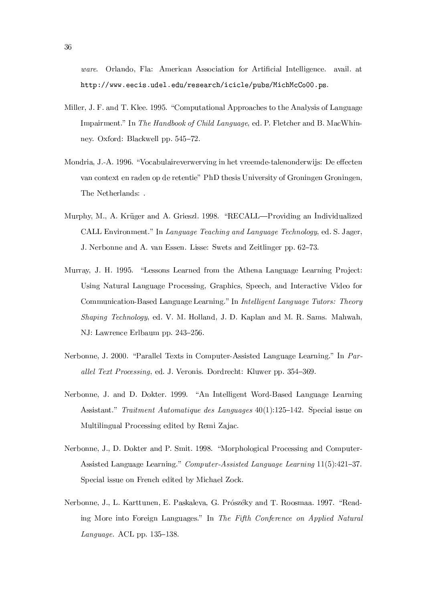ware. Orlando, Fla: American Association for Artificial Intelligence. avail. at http://www.eecis.udel.edu/research/icicle/pubs/MichMcCo00.ps.

- Miller, J. F. and T. Klee. 1995. "Computational Approaches to the Analysis of Language Impairment." In The Handbook of Child Language, ed. P. Fletcher and B. MacWhinney. Oxford: Blackwell pp. 545-72.
- Mondria, J.-A. 1996. "Vocabulaireverwerving in het vreemde-talenonderwijs: De effecten van context en raden op de retentie" PhD thesis University of Groningen Groningen, The Netherlands: .
- Murphy, M., A. Krüger and A. Grieszl. 1998. "RECALL—Providing an Individualized CALL Environment." In Language Teaching and Language Technology, ed. S. Jager, J. Nerbonne and A. van Essen. Lisse: Swets and Zeitlinger pp. 62–73.
- Murray, J. H. 1995. "Lessons Learned from the Athena Language Learning Project: Using Natural Language Processing, Graphics, Speech, and Interactive Video for Communication-Based Language Learning." In Intelligent Language Tutors: Theory Shaping Technology, ed. V. M. Holland, J. D. Kaplan and M. R. Sams. Mahwah, NJ: Lawrence Erlbaum pp. 243-256.
- Nerbonne, J. 2000. "Parallel Texts in Computer-Assisted Language Learning." In Parallel Text Processing, ed. J. Veronis. Dordrecht: Kluwer pp. 354–369.
- Nerbonne, J. and D. Dokter. 1999. "An Intelligent Word-Based Language Learning Assistant." Traitment Automatique des Languages  $40(1):125-142$ . Special issue on Multilingual Processing edited by Remi Zajac.
- Nerbonne, J., D. Dokter and P. Smit. 1998. "Morphological Processing and Computer-Assisted Language Learning." Computer-Assisted Language Learning 11(5):421-37. Special issue on French edited by Michael Zock.
- Nerbonne, J., L. Karttunen, E. Paskaleva, G. Prószéky and T. Roosmaa. 1997. "Reading More into Foreign Languages." In The Fifth Conference on Applied Natural Language. ACL pp. 135-138.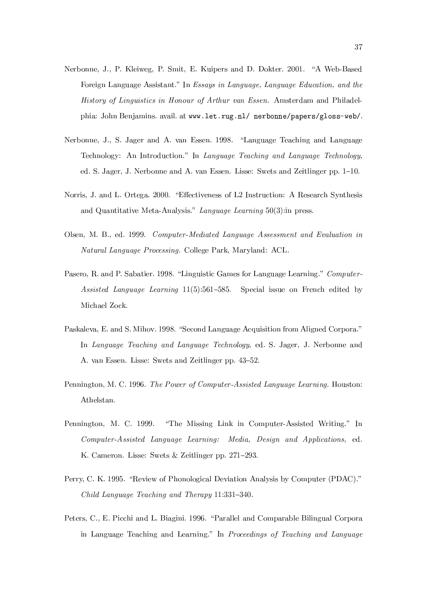- Nerbonne, J., P. Kleiweg, P. Smit, E. Kuipers and D. Dokter. 2001. "A Web-Based Foreign Language Assistant." In Essays in Language, Language Education, and the History of Linguistics in Honour of Arthur van Essen. Amsterdam and Philadelphia: John Benjamins. avail. at www.let.rug.nl/ nerbonne/papers/gloss-web/.
- Nerbonne, J., S. Jager and A. van Essen. 1998. "Language Teaching and Language Technology: An Introduction." In Language Teaching and Language Technology, ed. S. Jager, J. Nerbonne and A. van Essen. Lisse: Swets and Zeitlinger pp. 1–10.
- Norris, J. and L. Ortega. 2000. "Effectiveness of L2 Instruction: A Research Synthesis and Quantitative Meta-Analysis." Language Learning  $50(3)$ : in press.
- Olsen, M. B., ed. 1999. Computer-Mediated Language Assessment and Evaluation in *Natural Language Processing.* College Park, Maryland: ACL.
- Pasero, R. and P. Sabatier. 1998. "Linguistic Games for Language Learning." Computer-*Assisted Language Learning* 11(5):561–585. Special issue on French edited by Michael Zock.
- Paskaleva, E. and S. Mihov. 1998. "Second Language Acquisition from Aligned Corpora." In Language Teaching and Language Technology, ed. S. Jager, J. Nerbonne and A. van Essen. Lisse: Swets and Zeitlinger pp. 43–52.
- Pennington, M. C. 1996. The Power of Computer-Assisted Language Learning. Houston: Athelstan.
- "The Missing Link in Computer-Assisted Writing." In Pennington, M. C. 1999. Computer-Assisted Language Learning: Media, Design and Applications, ed. K. Cameron. Lisse: Swets & Zeitlinger pp. 271-293.
- Perry, C. K. 1995. "Review of Phonological Deviation Analysis by Computer (PDAC)." Child Language Teaching and Therapy 11:331-340.
- Peters, C., E. Picchi and L. Biagini. 1996. "Parallel and Comparable Bilingual Corpora in Language Teaching and Learning." In Proceedings of Teaching and Language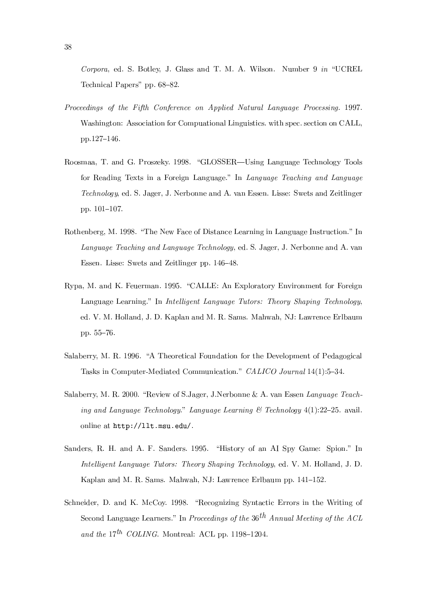Corpora, ed. S. Botley, J. Glass and T. M. A. Wilson. Number 9 in "UCREL Technical Papers" pp. 68-82.

- Proceedings of the Fifth Conference on Applied Natural Language Processing. 1997. Washington: Association for Computaional Linguistics, with spec, section on CALL. pp.127-146.
- Roosmaa, T. and G. Proszeky. 1998. "GLOSSER—Using Language Technology Tools for Reading Texts in a Foreign Language." In Language Teaching and Language Technology, ed. S. Jager, J. Nerbonne and A. van Essen. Lisse: Swets and Zeitlinger pp. 101-107.
- Rothenberg, M. 1998. "The New Face of Distance Learning in Language Instruction." In Language Teaching and Language Technology, ed. S. Jager, J. Nerbonne and A. van Essen. Lisse: Swets and Zeitlinger pp. 146–48.
- Rypa, M. and K. Feuerman. 1995. "CALLE: An Exploratory Environment for Foreign Language Learning." In Intelligent Language Tutors: Theory Shaping Technology, ed. V. M. Holland, J. D. Kaplan and M. R. Sams. Mahwah, NJ: Lawrence Erlbaum pp. 55-76.
- Salaberry, M. R. 1996. "A Theoretical Foundation for the Development of Pedagogical Tasks in Computer-Mediated Communication." CALICO Journal 14(1):5-34.
- Salaberry, M. R. 2000. "Review of S. Jager, J. Nerbonne & A. van Essen Language Teaching and Language Technology." Language Learning & Technology  $4(1):22-25$ . avail. online at http://llt.msu.edu/.
- Sanders, R. H. and A. F. Sanders. 1995. "History of an AI Spy Game: Spion." In Intelligent Language Tutors: Theory Shaping Technology, ed. V. M. Holland, J. D. Kaplan and M. R. Sams. Mahwah, NJ: Lawrence Erlbaum pp. 141-152.
- Schneider, D. and K. McCoy. 1998. "Recognizing Syntactic Errors in the Writing of Second Language Learners." In Proceedings of the 36<sup>th</sup> Annual Meeting of the ACL and the  $17^{th}$  COLING. Montreal: ACL pp. 1198-1204.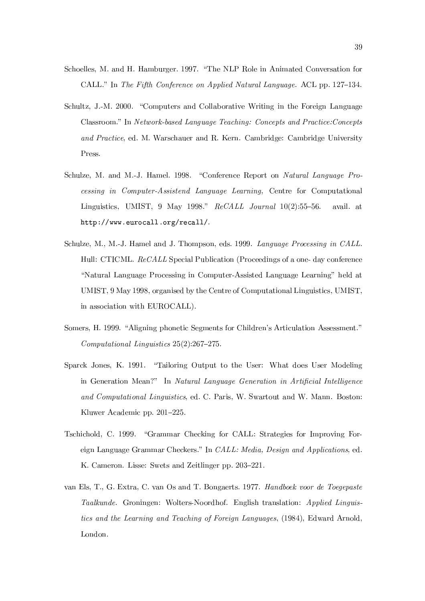- Schoelles, M. and H. Hamburger. 1997. "The NLP Role in Animated Conversation for CALL." In The Fifth Conference on Applied Natural Language. ACL pp. 127–134.
- Schultz, J.-M. 2000. "Computers and Collaborative Writing in the Foreign Language Classroom." In Network-based Language Teaching: Concepts and Practice: Concepts and Practice, ed. M. Warschauer and R. Kern. Cambridge: Cambridge University Press.
- Schulze, M. and M.-J. Hamel. 1998. "Conference Report on Natural Language Processing in Computer-Assistend Language Learning, Centre for Computational Linguistics, UMIST, 9 May 1998."  $ReCALL$  Journal  $10(2):55-56$ . avail. at http://www.eurocall.org/recall/.
- Schulze, M., M.-J. Hamel and J. Thompson, eds. 1999. Language Processing in CALL. Hull: CTICML. ReCALL Special Publication (Proceedings of a one- day conference "Natural Language Processing in Computer-Assisted Language Learning" held at UMIST, 9 May 1998, organised by the Centre of Computational Linguistics, UMIST, in association with EUROCALL).
- Somers, H. 1999. "Aligning phonetic Segments for Children's Articulation Assessment."  $Computational\ Linguistics$  25(2):267-275.
- Sparck Jones, K. 1991. "Tailoring Output to the User: What does User Modeling in Generation Mean?" In Natural Language Generation in Artificial Intelligence and Computational Linguistics, ed. C. Paris, W. Swartout and W. Mann. Boston: Kluwer Academic pp. 201-225.
- Tschichold, C. 1999. "Grammar Checking for CALL: Strategies for Improving Foreign Language Grammar Checkers." In CALL: Media, Design and Applications, ed. K. Cameron. Lisse: Swets and Zeitlinger pp. 203-221.
- van Els, T., G. Extra, C. van Os and T. Bongaerts. 1977. Handboek voor de Toegepaste Taalkunde. Groningen: Wolters-Noordhof. English translation: Applied Linguistics and the Learning and Teaching of Foreign Languages, (1984), Edward Arnold, London.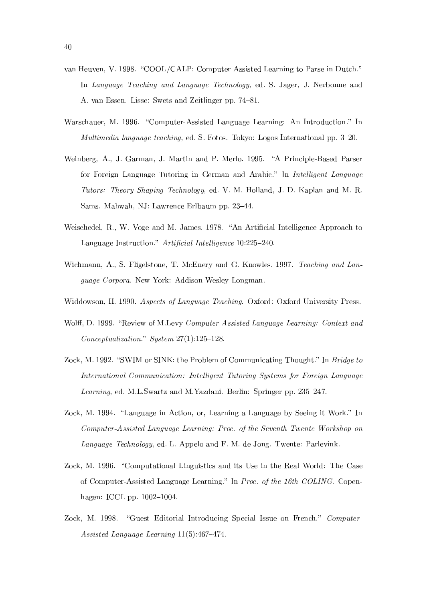- van Heuven, V. 1998. "COOL/CALP: Computer-Assisted Learning to Parse in Dutch." In Language Teaching and Language Technology, ed. S. Jager, J. Nerbonne and A. van Essen. Lisse: Swets and Zeitlinger pp. 74–81.
- Warschauer, M. 1996. "Computer-Assisted Language Learning: An Introduction." In *Multimedia language teaching*, ed. S. Fotos. Tokyo: Logos International pp. 3–20.
- Weinberg, A., J. Garman, J. Martin and P. Merlo. 1995. "A Principle-Based Parser for Foreign Language Tutoring in German and Arabic." In Intelligent Language Tutors: Theory Shaping Technology, ed. V. M. Holland, J. D. Kaplan and M. R. Sams. Mahwah, NJ: Lawrence Erlbaum pp. 23-44.
- Weischedel, R., W. Voge and M. James. 1978. "An Artificial Intelligence Approach to Language Instruction." Artificial Intelligence 10:225-240.
- Wichmann, A., S. Fligelstone, T. McEnery and G. Knowles. 1997. Teaching and Language Corpora. New York: Addison-Wesley Longman.
- Widdowson, H. 1990. Aspects of Language Teaching. Oxford: Oxford University Press.
- Wolff, D. 1999. "Review of M.Levy Computer-Assisted Language Learning: Context and *Conceptualization.*" *System*  $27(1):125-128$ .
- Zock, M. 1992. "SWIM or SINK: the Problem of Communicating Thought." In Bridge to International Communication: Intelligent Tutoring Systems for Foreign Language Learning, ed. M.L.Swartz and M.Yazdani. Berlin: Springer pp. 235-247.
- Zock, M. 1994. "Language in Action, or, Learning a Language by Seeing it Work." In Computer-Assisted Language Learning: Proc. of the Seventh Twente Workshop on Language Technology, ed. L. Appelo and F. M. de Jong. Twente: Parlevink.
- Zock, M. 1996. "Computational Linguistics and its Use in the Real World: The Case of Computer-Assisted Language Learning." In Proc. of the 16th COLING. Copenhagen: ICCL pp. 1002-1004.
- Zock. M. 1998. "Guest Editorial Introducing Special Issue on French." Computer-Assisted Language Learning 11(5):467-474.